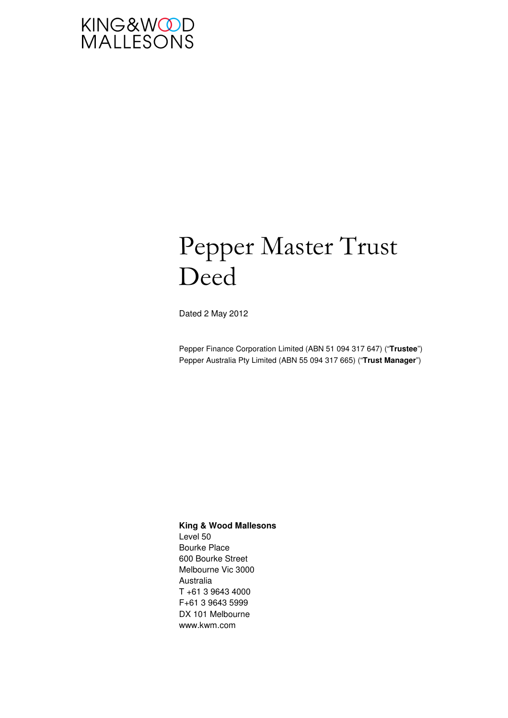

# Pepper Master Trust Deed

Dated 2 May 2012

Pepper Finance Corporation Limited (ABN 51 094 317 647) ("**Trustee**") Pepper Australia Pty Limited (ABN 55 094 317 665) ("**Trust Manager**")

**King & Wood Mallesons**  Level 50 Bourke Place 600 Bourke Street Melbourne Vic 3000 Australia T +61 3 9643 4000 F+61 3 9643 5999 DX 101 Melbourne www.kwm.com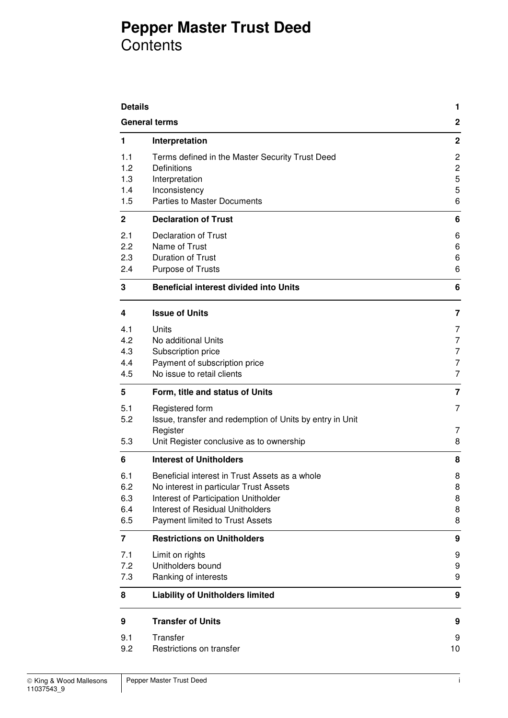## **Pepper Master Trust Deed**  Contents

| <b>Details</b> |                                                          | 1                |
|----------------|----------------------------------------------------------|------------------|
|                | <b>General terms</b>                                     | $\mathbf 2$      |
| 1              | Interpretation                                           | $\mathbf 2$      |
| 1.1            | Terms defined in the Master Security Trust Deed          | $\overline{c}$   |
| 1.2            | Definitions                                              | $\mathbf 2$      |
| 1.3            | Interpretation                                           | $\mathbf 5$      |
| 1.4            | Inconsistency                                            | 5                |
| 1.5            | <b>Parties to Master Documents</b>                       | 6                |
| $\overline{2}$ | <b>Declaration of Trust</b>                              | 6                |
| 2.1            | <b>Declaration of Trust</b>                              | 6                |
| 2.2            | Name of Trust                                            | 6                |
| 2.3            | <b>Duration of Trust</b>                                 | 6                |
| 2.4            | Purpose of Trusts                                        | 6                |
| 3              | <b>Beneficial interest divided into Units</b>            | 6                |
| 4              | <b>Issue of Units</b>                                    | 7                |
| 4.1            | Units                                                    | 7                |
| 4.2            | No additional Units                                      | 7                |
| 4.3            | Subscription price                                       | 7                |
| 4.4            | Payment of subscription price                            | 7                |
| 4.5            | No issue to retail clients                               | 7                |
| 5              | Form, title and status of Units                          | 7                |
| 5.1            | Registered form                                          | 7                |
| 5.2            | Issue, transfer and redemption of Units by entry in Unit |                  |
|                | Register                                                 | 7                |
| 5.3            | Unit Register conclusive as to ownership                 | 8                |
| 6              | <b>Interest of Unitholders</b>                           | 8                |
| 6.1            | Beneficial interest in Trust Assets as a whole           | 8                |
| 6.2            | No interest in particular Trust Assets                   | 8                |
| 6.3            | Interest of Participation Unitholder                     | 8                |
| 6.4            | <b>Interest of Residual Unitholders</b>                  | 8                |
| 6.5            | <b>Payment limited to Trust Assets</b>                   | 8                |
| $\overline{7}$ | <b>Restrictions on Unitholders</b>                       | 9                |
| 7.1            | Limit on rights                                          | 9                |
| 7.2            | Unitholders bound                                        | 9                |
| 7.3            | Ranking of interests                                     | 9                |
| 8              | <b>Liability of Unitholders limited</b>                  | $\boldsymbol{9}$ |
| 9              | <b>Transfer of Units</b>                                 | 9                |
| 9.1            | Transfer                                                 | 9                |
| 9.2            | Restrictions on transfer                                 | 10               |
|                |                                                          |                  |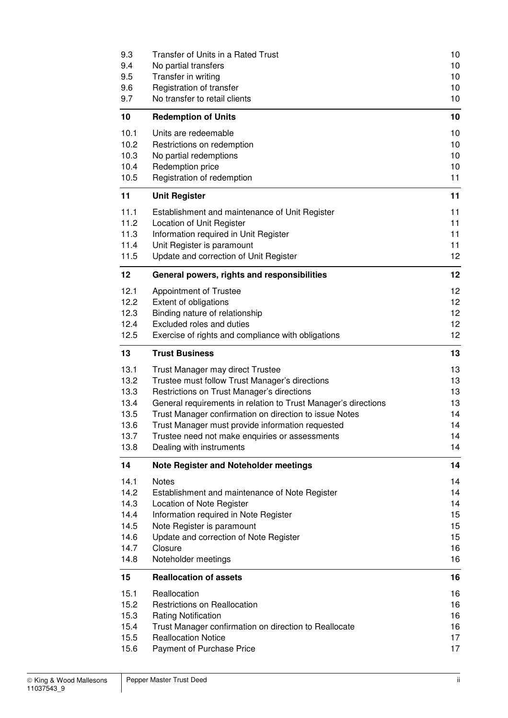| 9.3  | Transfer of Units in a Rated Trust                             | 10 |  |
|------|----------------------------------------------------------------|----|--|
| 9.4  | No partial transfers                                           |    |  |
| 9.5  | Transfer in writing                                            | 10 |  |
| 9.6  | Registration of transfer                                       | 10 |  |
| 9.7  | No transfer to retail clients                                  | 10 |  |
| 10   | <b>Redemption of Units</b>                                     | 10 |  |
| 10.1 | Units are redeemable                                           | 10 |  |
| 10.2 | Restrictions on redemption                                     | 10 |  |
| 10.3 | No partial redemptions                                         | 10 |  |
| 10.4 | Redemption price                                               | 10 |  |
| 10.5 | Registration of redemption                                     | 11 |  |
| 11   | <b>Unit Register</b>                                           | 11 |  |
| 11.1 | Establishment and maintenance of Unit Register                 | 11 |  |
| 11.2 | Location of Unit Register                                      | 11 |  |
| 11.3 | Information required in Unit Register                          | 11 |  |
| 11.4 | Unit Register is paramount                                     | 11 |  |
| 11.5 | Update and correction of Unit Register                         | 12 |  |
| 12   | General powers, rights and responsibilities                    | 12 |  |
| 12.1 | Appointment of Trustee                                         | 12 |  |
| 12.2 | Extent of obligations                                          | 12 |  |
| 12.3 | Binding nature of relationship                                 | 12 |  |
| 12.4 | Excluded roles and duties                                      | 12 |  |
| 12.5 | Exercise of rights and compliance with obligations             | 12 |  |
| 13   | <b>Trust Business</b>                                          | 13 |  |
| 13.1 | Trust Manager may direct Trustee                               | 13 |  |
| 13.2 | Trustee must follow Trust Manager's directions                 | 13 |  |
| 13.3 | Restrictions on Trust Manager's directions                     | 13 |  |
| 13.4 | General requirements in relation to Trust Manager's directions | 13 |  |
| 13.5 | Trust Manager confirmation on direction to issue Notes         | 14 |  |
| 13.6 | Trust Manager must provide information requested               | 14 |  |
| 13.7 | Trustee need not make enquiries or assessments                 | 14 |  |
| 13.8 | Dealing with instruments                                       | 14 |  |
| 14   | <b>Note Register and Noteholder meetings</b>                   | 14 |  |
| 14.1 | <b>Notes</b>                                                   | 14 |  |
| 14.2 | Establishment and maintenance of Note Register                 | 14 |  |
| 14.3 | Location of Note Register                                      | 14 |  |
| 14.4 | Information required in Note Register                          | 15 |  |
| 14.5 | Note Register is paramount                                     | 15 |  |
| 14.6 | Update and correction of Note Register                         | 15 |  |
| 14.7 | Closure                                                        | 16 |  |
| 14.8 | Noteholder meetings                                            | 16 |  |
| 15   | <b>Reallocation of assets</b>                                  | 16 |  |
| 15.1 | Reallocation                                                   | 16 |  |
| 15.2 | Restrictions on Reallocation                                   | 16 |  |
| 15.3 | <b>Rating Notification</b>                                     | 16 |  |
| 15.4 | Trust Manager confirmation on direction to Reallocate          | 16 |  |
| 15.5 | <b>Reallocation Notice</b>                                     | 17 |  |
| 15.6 | Payment of Purchase Price                                      | 17 |  |
|      |                                                                |    |  |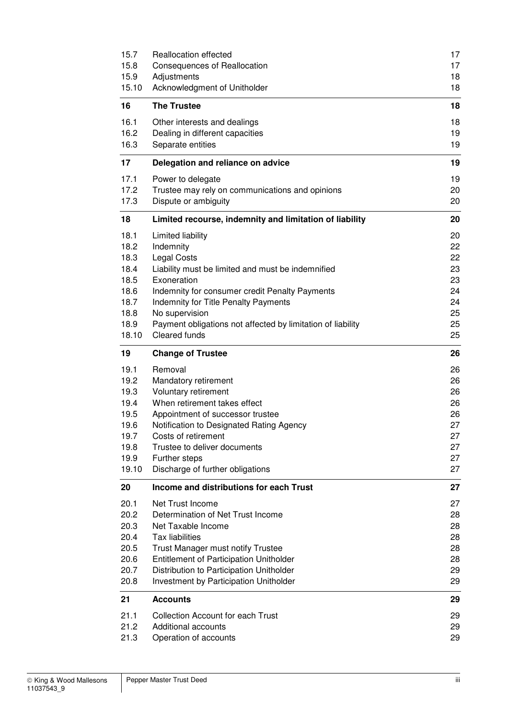| 15.7<br>15.8<br>15.9 | <b>Reallocation effected</b><br><b>Consequences of Reallocation</b><br>Adjustments            | 17<br>17<br>18 |
|----------------------|-----------------------------------------------------------------------------------------------|----------------|
| 15.10                | Acknowledgment of Unitholder                                                                  | 18             |
| 16                   | <b>The Trustee</b>                                                                            | 18             |
| 16.1                 | Other interests and dealings                                                                  | 18             |
| 16.2                 | Dealing in different capacities                                                               | 19             |
| 16.3                 | Separate entities                                                                             | 19             |
| 17                   | Delegation and reliance on advice                                                             | 19             |
| 17.1                 | Power to delegate                                                                             | 19             |
| 17.2                 | Trustee may rely on communications and opinions                                               | 20             |
| 17.3                 | Dispute or ambiguity                                                                          | 20             |
| 18                   | Limited recourse, indemnity and limitation of liability                                       | 20             |
| 18.1                 | Limited liability                                                                             | 20             |
| 18.2                 | Indemnity                                                                                     | 22             |
| 18.3                 | <b>Legal Costs</b>                                                                            | 22             |
| 18.4                 | Liability must be limited and must be indemnified                                             | 23             |
| 18.5                 | Exoneration                                                                                   | 23             |
| 18.6<br>18.7         | Indemnity for consumer credit Penalty Payments<br><b>Indemnity for Title Penalty Payments</b> | 24<br>24       |
| 18.8                 | No supervision                                                                                | 25             |
| 18.9                 | Payment obligations not affected by limitation of liability                                   | 25             |
| 18.10                | Cleared funds                                                                                 | 25             |
| 19                   | <b>Change of Trustee</b>                                                                      | 26             |
| 19.1                 | Removal                                                                                       | 26             |
| 19.2                 | Mandatory retirement                                                                          | 26             |
| 19.3                 | Voluntary retirement                                                                          | 26             |
| 19.4                 | When retirement takes effect                                                                  | 26             |
| 19.5                 | Appointment of successor trustee                                                              | 26             |
|                      | Notification to Designated Rating Agency                                                      |                |
| 19.6                 |                                                                                               | 27             |
| 19.7                 | Costs of retirement                                                                           | 27             |
| 19.8                 | Trustee to deliver documents                                                                  | 27             |
| 19.9                 | Further steps                                                                                 | 27             |
| 19.10                | Discharge of further obligations                                                              | 27             |
| 20                   | Income and distributions for each Trust                                                       | 27             |
| 20.1                 | Net Trust Income                                                                              | 27             |
| 20.2                 | Determination of Net Trust Income                                                             | 28             |
| 20.3                 | Net Taxable Income                                                                            | 28             |
| 20.4                 | <b>Tax liabilities</b>                                                                        | 28             |
| 20.5                 | Trust Manager must notify Trustee                                                             | 28             |
| 20.6                 | <b>Entitlement of Participation Unitholder</b>                                                | 28             |
| 20.7<br>20.8         | Distribution to Participation Unitholder<br>Investment by Participation Unitholder            | 29<br>29       |
| 21                   | <b>Accounts</b>                                                                               | 29             |
| 21.1                 |                                                                                               | 29             |
| 21.2                 | <b>Collection Account for each Trust</b><br><b>Additional accounts</b>                        | 29             |
| 21.3                 | Operation of accounts                                                                         | 29             |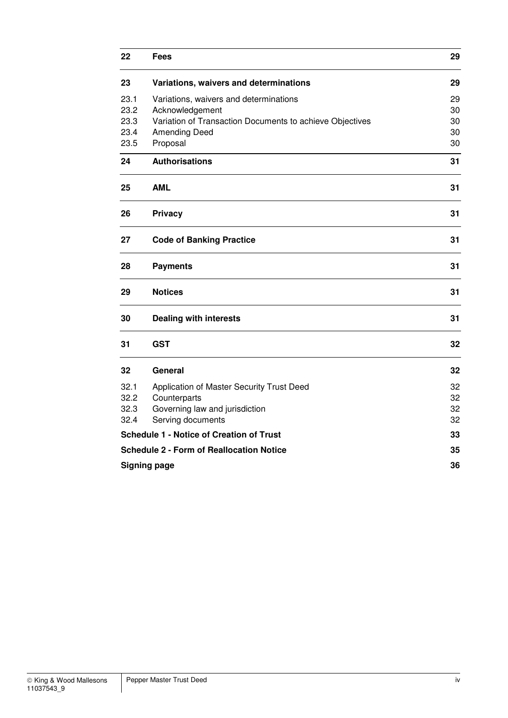| 22                           | Fees                                                                                                                  | 29                   |
|------------------------------|-----------------------------------------------------------------------------------------------------------------------|----------------------|
| 23                           | Variations, waivers and determinations                                                                                | 29                   |
| 23.1<br>23.2<br>23.3         | Variations, waivers and determinations<br>Acknowledgement<br>Variation of Transaction Documents to achieve Objectives | 29<br>30<br>30       |
| 23.4<br>23.5                 | <b>Amending Deed</b><br>Proposal                                                                                      | 30<br>30             |
| 24                           | <b>Authorisations</b>                                                                                                 | 31                   |
| 25                           | <b>AML</b>                                                                                                            | 31                   |
| 26                           | <b>Privacy</b>                                                                                                        | 31                   |
| 27                           | <b>Code of Banking Practice</b>                                                                                       | 31                   |
| 28                           | <b>Payments</b>                                                                                                       | 31                   |
| 29                           | <b>Notices</b>                                                                                                        | 31                   |
| 30                           | <b>Dealing with interests</b>                                                                                         | 31                   |
| 31                           | <b>GST</b>                                                                                                            | 32                   |
| 32                           | General                                                                                                               | 32                   |
| 32.1<br>32.2<br>32.3<br>32.4 | Application of Master Security Trust Deed<br>Counterparts<br>Governing law and jurisdiction<br>Serving documents      | 32<br>32<br>32<br>32 |
|                              | <b>Schedule 1 - Notice of Creation of Trust</b>                                                                       | 33                   |
|                              | <b>Schedule 2 - Form of Reallocation Notice</b>                                                                       | 35                   |
|                              | <b>Signing page</b>                                                                                                   | 36                   |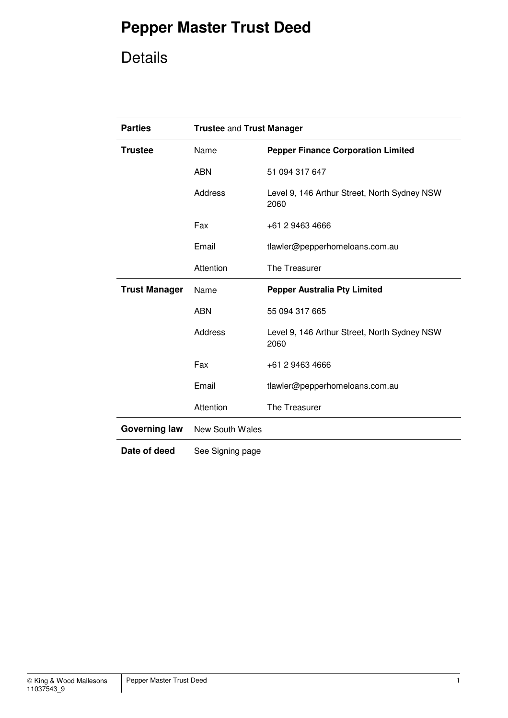## **Pepper Master Trust Deed**

## Details

| <b>Parties</b><br><b>Trustee and Trust Manager</b> |                        |                                                      |
|----------------------------------------------------|------------------------|------------------------------------------------------|
| <b>Trustee</b>                                     | Name                   | <b>Pepper Finance Corporation Limited</b>            |
|                                                    | <b>ABN</b>             | 51 094 317 647                                       |
|                                                    | <b>Address</b>         | Level 9, 146 Arthur Street, North Sydney NSW<br>2060 |
|                                                    | Fax                    | +61 2 9463 4666                                      |
|                                                    | Email                  | tlawler@pepperhomeloans.com.au                       |
|                                                    | Attention              | The Treasurer                                        |
| <b>Trust Manager</b>                               | Name                   | <b>Pepper Australia Pty Limited</b>                  |
|                                                    | <b>ABN</b>             | 55 094 317 665                                       |
|                                                    | <b>Address</b>         | Level 9, 146 Arthur Street, North Sydney NSW<br>2060 |
|                                                    | Fax                    | +61 2 9463 4666                                      |
|                                                    | Email                  | tlawler@pepperhomeloans.com.au                       |
|                                                    | Attention              | The Treasurer                                        |
| <b>Governing law</b>                               | <b>New South Wales</b> |                                                      |
| Date of deed                                       | See Signing page       |                                                      |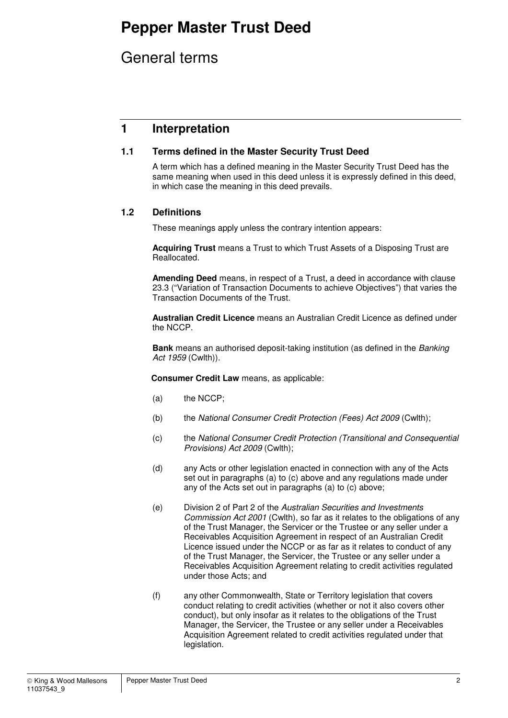## **Pepper Master Trust Deed**

## General terms

## **1 Interpretation**

#### **1.1 Terms defined in the Master Security Trust Deed**

A term which has a defined meaning in the Master Security Trust Deed has the same meaning when used in this deed unless it is expressly defined in this deed, in which case the meaning in this deed prevails.

#### **1.2 Definitions**

These meanings apply unless the contrary intention appears:

**Acquiring Trust** means a Trust to which Trust Assets of a Disposing Trust are Reallocated.

**Amending Deed** means, in respect of a Trust, a deed in accordance with clause 23.3 ("Variation of Transaction Documents to achieve Objectives") that varies the Transaction Documents of the Trust.

**Australian Credit Licence** means an Australian Credit Licence as defined under the NCCP.

**Bank** means an authorised deposit-taking institution (as defined in the Banking Act 1959 (Cwlth)).

**Consumer Credit Law** means, as applicable:

- (a) the NCCP;
- (b) the National Consumer Credit Protection (Fees) Act 2009 (Cwlth);
- (c) the National Consumer Credit Protection (Transitional and Consequential Provisions) Act 2009 (Cwlth);
- (d) any Acts or other legislation enacted in connection with any of the Acts set out in paragraphs (a) to (c) above and any regulations made under any of the Acts set out in paragraphs (a) to (c) above;
- (e) Division 2 of Part 2 of the Australian Securities and Investments Commission Act 2001 (Cwlth), so far as it relates to the obligations of any of the Trust Manager, the Servicer or the Trustee or any seller under a Receivables Acquisition Agreement in respect of an Australian Credit Licence issued under the NCCP or as far as it relates to conduct of any of the Trust Manager, the Servicer, the Trustee or any seller under a Receivables Acquisition Agreement relating to credit activities regulated under those Acts; and
- (f) any other Commonwealth, State or Territory legislation that covers conduct relating to credit activities (whether or not it also covers other conduct), but only insofar as it relates to the obligations of the Trust Manager, the Servicer, the Trustee or any seller under a Receivables Acquisition Agreement related to credit activities regulated under that legislation.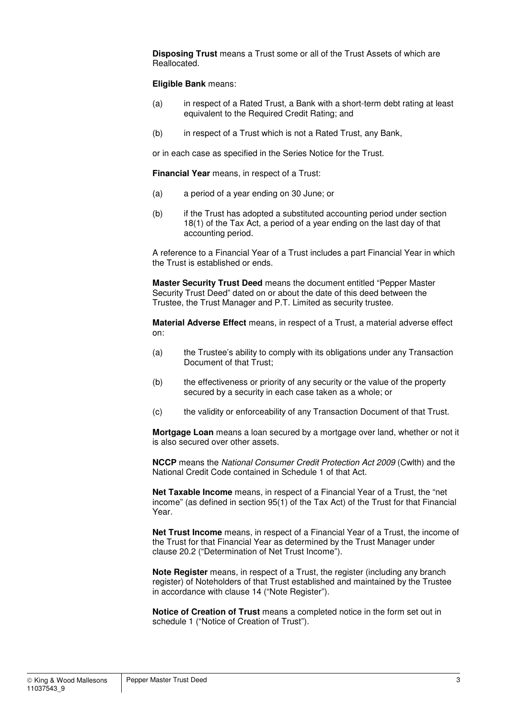**Disposing Trust** means a Trust some or all of the Trust Assets of which are Reallocated.

#### **Eligible Bank** means:

- (a) in respect of a Rated Trust, a Bank with a short-term debt rating at least equivalent to the Required Credit Rating; and
- (b) in respect of a Trust which is not a Rated Trust, any Bank,

or in each case as specified in the Series Notice for the Trust.

**Financial Year** means, in respect of a Trust:

- (a) a period of a year ending on 30 June; or
- (b) if the Trust has adopted a substituted accounting period under section 18(1) of the Tax Act, a period of a year ending on the last day of that accounting period.

A reference to a Financial Year of a Trust includes a part Financial Year in which the Trust is established or ends.

**Master Security Trust Deed** means the document entitled "Pepper Master Security Trust Deed" dated on or about the date of this deed between the Trustee, the Trust Manager and P.T. Limited as security trustee.

**Material Adverse Effect** means, in respect of a Trust, a material adverse effect on:

- (a) the Trustee's ability to comply with its obligations under any Transaction Document of that Trust:
- (b) the effectiveness or priority of any security or the value of the property secured by a security in each case taken as a whole; or
- (c) the validity or enforceability of any Transaction Document of that Trust.

**Mortgage Loan** means a loan secured by a mortgage over land, whether or not it is also secured over other assets.

**NCCP** means the National Consumer Credit Protection Act 2009 (Cwlth) and the National Credit Code contained in Schedule 1 of that Act.

**Net Taxable Income** means, in respect of a Financial Year of a Trust, the "net income" (as defined in section 95(1) of the Tax Act) of the Trust for that Financial Year.

**Net Trust Income** means, in respect of a Financial Year of a Trust, the income of the Trust for that Financial Year as determined by the Trust Manager under clause 20.2 ("Determination of Net Trust Income").

**Note Register** means, in respect of a Trust, the register (including any branch register) of Noteholders of that Trust established and maintained by the Trustee in accordance with clause 14 ("Note Register").

**Notice of Creation of Trust** means a completed notice in the form set out in schedule 1 ("Notice of Creation of Trust").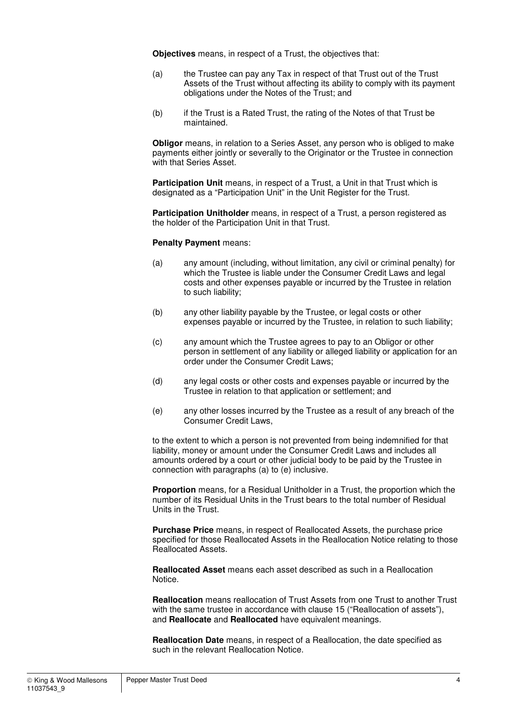**Objectives** means, in respect of a Trust, the objectives that:

- (a) the Trustee can pay any Tax in respect of that Trust out of the Trust Assets of the Trust without affecting its ability to comply with its payment obligations under the Notes of the Trust; and
- (b) if the Trust is a Rated Trust, the rating of the Notes of that Trust be maintained.

**Obligor** means, in relation to a Series Asset, any person who is obliged to make payments either jointly or severally to the Originator or the Trustee in connection with that Series Asset.

**Participation Unit** means, in respect of a Trust, a Unit in that Trust which is designated as a "Participation Unit" in the Unit Register for the Trust.

**Participation Unitholder** means, in respect of a Trust, a person registered as the holder of the Participation Unit in that Trust.

#### **Penalty Payment** means:

- (a) any amount (including, without limitation, any civil or criminal penalty) for which the Trustee is liable under the Consumer Credit Laws and legal costs and other expenses payable or incurred by the Trustee in relation to such liability;
- (b) any other liability payable by the Trustee, or legal costs or other expenses payable or incurred by the Trustee, in relation to such liability;
- (c) any amount which the Trustee agrees to pay to an Obligor or other person in settlement of any liability or alleged liability or application for an order under the Consumer Credit Laws;
- (d) any legal costs or other costs and expenses payable or incurred by the Trustee in relation to that application or settlement; and
- (e) any other losses incurred by the Trustee as a result of any breach of the Consumer Credit Laws,

to the extent to which a person is not prevented from being indemnified for that liability, money or amount under the Consumer Credit Laws and includes all amounts ordered by a court or other judicial body to be paid by the Trustee in connection with paragraphs (a) to (e) inclusive.

**Proportion** means, for a Residual Unitholder in a Trust, the proportion which the number of its Residual Units in the Trust bears to the total number of Residual Units in the Trust.

**Purchase Price** means, in respect of Reallocated Assets, the purchase price specified for those Reallocated Assets in the Reallocation Notice relating to those Reallocated Assets.

**Reallocated Asset** means each asset described as such in a Reallocation Notice.

**Reallocation** means reallocation of Trust Assets from one Trust to another Trust with the same trustee in accordance with clause 15 ("Reallocation of assets"), and **Reallocate** and **Reallocated** have equivalent meanings.

**Reallocation Date** means, in respect of a Reallocation, the date specified as such in the relevant Reallocation Notice.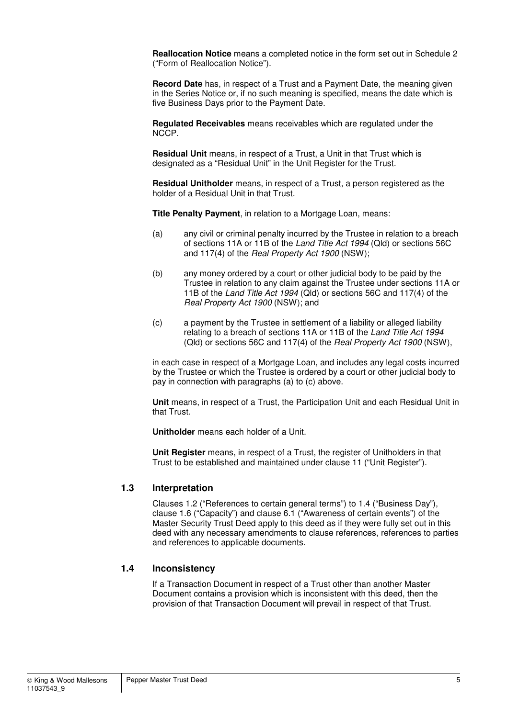**Reallocation Notice** means a completed notice in the form set out in Schedule 2 ("Form of Reallocation Notice").

**Record Date** has, in respect of a Trust and a Payment Date, the meaning given in the Series Notice or, if no such meaning is specified, means the date which is five Business Days prior to the Payment Date.

**Regulated Receivables** means receivables which are regulated under the NCCP.

**Residual Unit** means, in respect of a Trust, a Unit in that Trust which is designated as a "Residual Unit" in the Unit Register for the Trust.

**Residual Unitholder** means, in respect of a Trust, a person registered as the holder of a Residual Unit in that Trust.

**Title Penalty Payment**, in relation to a Mortgage Loan, means:

- (a) any civil or criminal penalty incurred by the Trustee in relation to a breach of sections 11A or 11B of the Land Title Act 1994 (Qld) or sections 56C and 117(4) of the Real Property Act 1900 (NSW);
- (b) any money ordered by a court or other judicial body to be paid by the Trustee in relation to any claim against the Trustee under sections 11A or 11B of the Land Title Act 1994 (Qld) or sections 56C and 117(4) of the Real Property Act 1900 (NSW); and
- (c) a payment by the Trustee in settlement of a liability or alleged liability relating to a breach of sections 11A or 11B of the Land Title Act 1994 (Qld) or sections 56C and 117(4) of the Real Property Act 1900 (NSW),

in each case in respect of a Mortgage Loan, and includes any legal costs incurred by the Trustee or which the Trustee is ordered by a court or other judicial body to pay in connection with paragraphs (a) to (c) above.

**Unit** means, in respect of a Trust, the Participation Unit and each Residual Unit in that Trust.

**Unitholder** means each holder of a Unit.

**Unit Register** means, in respect of a Trust, the register of Unitholders in that Trust to be established and maintained under clause 11 ("Unit Register").

#### **1.3 Interpretation**

Clauses 1.2 ("References to certain general terms") to 1.4 ("Business Day"), clause 1.6 ("Capacity") and clause 6.1 ("Awareness of certain events") of the Master Security Trust Deed apply to this deed as if they were fully set out in this deed with any necessary amendments to clause references, references to parties and references to applicable documents.

#### **1.4 Inconsistency**

If a Transaction Document in respect of a Trust other than another Master Document contains a provision which is inconsistent with this deed, then the provision of that Transaction Document will prevail in respect of that Trust.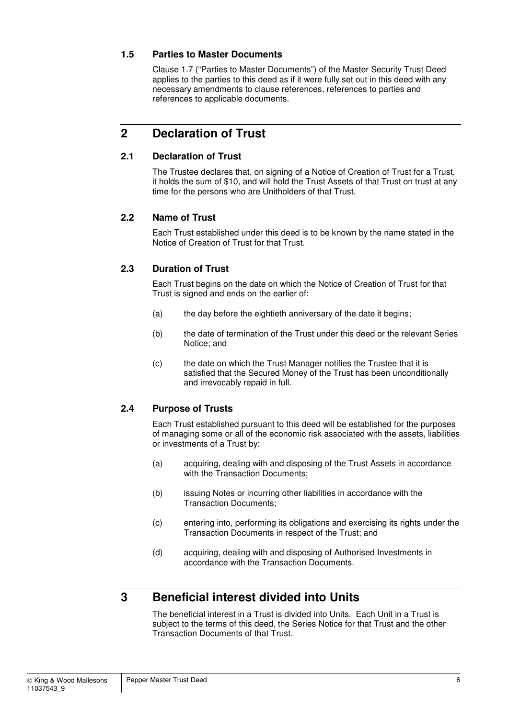#### **1.5 Parties to Master Documents**

Clause 1.7 ("Parties to Master Documents") of the Master Security Trust Deed applies to the parties to this deed as if it were fully set out in this deed with any necessary amendments to clause references, references to parties and references to applicable documents.

## **2 Declaration of Trust**

#### **2.1 Declaration of Trust**

The Trustee declares that, on signing of a Notice of Creation of Trust for a Trust, it holds the sum of \$10, and will hold the Trust Assets of that Trust on trust at any time for the persons who are Unitholders of that Trust.

#### **2.2 Name of Trust**

Each Trust established under this deed is to be known by the name stated in the Notice of Creation of Trust for that Trust.

#### **2.3 Duration of Trust**

Each Trust begins on the date on which the Notice of Creation of Trust for that Trust is signed and ends on the earlier of:

- (a) the day before the eightieth anniversary of the date it begins;
- (b) the date of termination of the Trust under this deed or the relevant Series Notice; and
- (c) the date on which the Trust Manager notifies the Trustee that it is satisfied that the Secured Money of the Trust has been unconditionally and irrevocably repaid in full.

#### **2.4 Purpose of Trusts**

Each Trust established pursuant to this deed will be established for the purposes of managing some or all of the economic risk associated with the assets, liabilities or investments of a Trust by:

- (a) acquiring, dealing with and disposing of the Trust Assets in accordance with the Transaction Documents:
- (b) issuing Notes or incurring other liabilities in accordance with the Transaction Documents;
- (c) entering into, performing its obligations and exercising its rights under the Transaction Documents in respect of the Trust; and
- (d) acquiring, dealing with and disposing of Authorised Investments in accordance with the Transaction Documents.

## **3 Beneficial interest divided into Units**

The beneficial interest in a Trust is divided into Units. Each Unit in a Trust is subject to the terms of this deed, the Series Notice for that Trust and the other Transaction Documents of that Trust.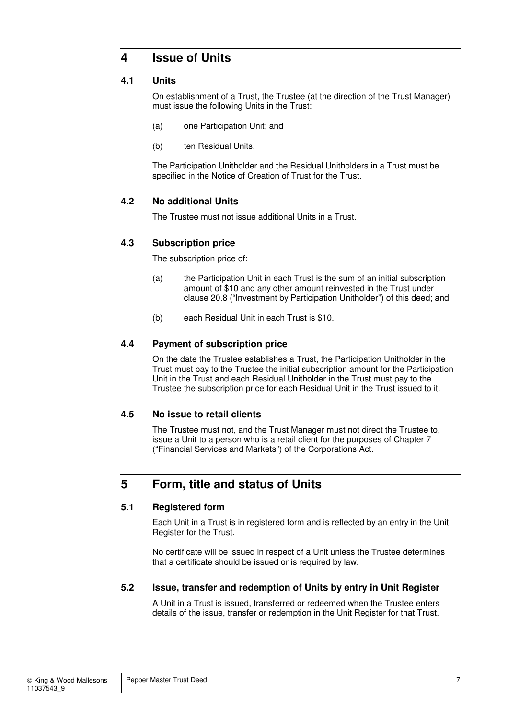## **4 Issue of Units**

#### **4.1 Units**

On establishment of a Trust, the Trustee (at the direction of the Trust Manager) must issue the following Units in the Trust:

- (a) one Participation Unit; and
- (b) ten Residual Units.

The Participation Unitholder and the Residual Unitholders in a Trust must be specified in the Notice of Creation of Trust for the Trust.

#### **4.2 No additional Units**

The Trustee must not issue additional Units in a Trust.

#### **4.3 Subscription price**

The subscription price of:

- (a) the Participation Unit in each Trust is the sum of an initial subscription amount of \$10 and any other amount reinvested in the Trust under clause 20.8 ("Investment by Participation Unitholder") of this deed; and
- (b) each Residual Unit in each Trust is \$10.

#### **4.4 Payment of subscription price**

On the date the Trustee establishes a Trust, the Participation Unitholder in the Trust must pay to the Trustee the initial subscription amount for the Participation Unit in the Trust and each Residual Unitholder in the Trust must pay to the Trustee the subscription price for each Residual Unit in the Trust issued to it.

#### **4.5 No issue to retail clients**

The Trustee must not, and the Trust Manager must not direct the Trustee to, issue a Unit to a person who is a retail client for the purposes of Chapter 7 ("Financial Services and Markets") of the Corporations Act.

## **5 Form, title and status of Units**

#### **5.1 Registered form**

Each Unit in a Trust is in registered form and is reflected by an entry in the Unit Register for the Trust.

No certificate will be issued in respect of a Unit unless the Trustee determines that a certificate should be issued or is required by law.

#### **5.2 Issue, transfer and redemption of Units by entry in Unit Register**

A Unit in a Trust is issued, transferred or redeemed when the Trustee enters details of the issue, transfer or redemption in the Unit Register for that Trust.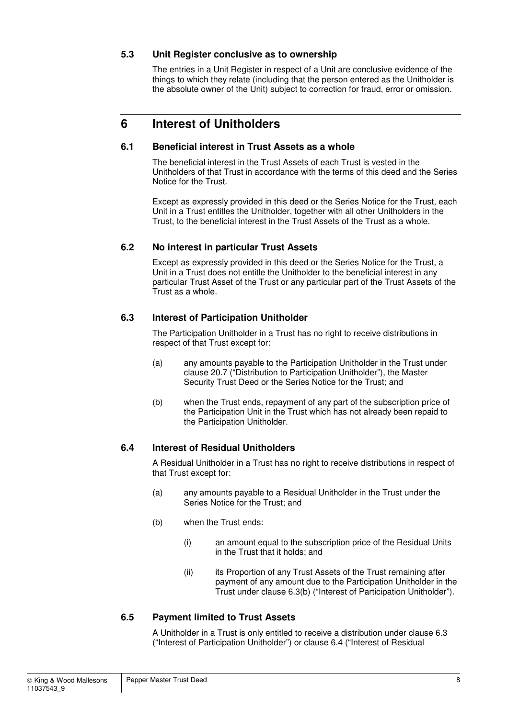#### **5.3 Unit Register conclusive as to ownership**

The entries in a Unit Register in respect of a Unit are conclusive evidence of the things to which they relate (including that the person entered as the Unitholder is the absolute owner of the Unit) subject to correction for fraud, error or omission.

## **6 Interest of Unitholders**

#### **6.1 Beneficial interest in Trust Assets as a whole**

The beneficial interest in the Trust Assets of each Trust is vested in the Unitholders of that Trust in accordance with the terms of this deed and the Series Notice for the Trust.

Except as expressly provided in this deed or the Series Notice for the Trust, each Unit in a Trust entitles the Unitholder, together with all other Unitholders in the Trust, to the beneficial interest in the Trust Assets of the Trust as a whole.

#### **6.2 No interest in particular Trust Assets**

Except as expressly provided in this deed or the Series Notice for the Trust, a Unit in a Trust does not entitle the Unitholder to the beneficial interest in any particular Trust Asset of the Trust or any particular part of the Trust Assets of the Trust as a whole.

#### **6.3 Interest of Participation Unitholder**

The Participation Unitholder in a Trust has no right to receive distributions in respect of that Trust except for:

- (a) any amounts payable to the Participation Unitholder in the Trust under clause 20.7 ("Distribution to Participation Unitholder"), the Master Security Trust Deed or the Series Notice for the Trust; and
- (b) when the Trust ends, repayment of any part of the subscription price of the Participation Unit in the Trust which has not already been repaid to the Participation Unitholder.

#### **6.4 Interest of Residual Unitholders**

A Residual Unitholder in a Trust has no right to receive distributions in respect of that Trust except for:

- (a) any amounts payable to a Residual Unitholder in the Trust under the Series Notice for the Trust; and
- (b) when the Trust ends:
	- (i) an amount equal to the subscription price of the Residual Units in the Trust that it holds; and
	- (ii) its Proportion of any Trust Assets of the Trust remaining after payment of any amount due to the Participation Unitholder in the Trust under clause 6.3(b) ("Interest of Participation Unitholder").

#### **6.5 Payment limited to Trust Assets**

A Unitholder in a Trust is only entitled to receive a distribution under clause 6.3 ("Interest of Participation Unitholder") or clause 6.4 ("Interest of Residual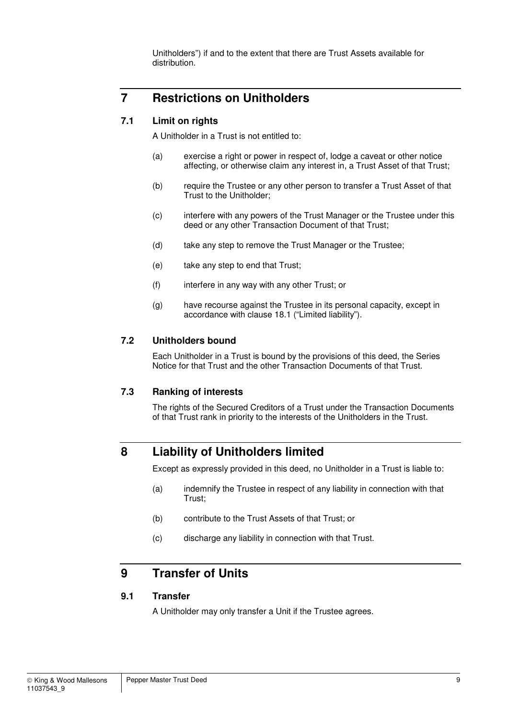Unitholders") if and to the extent that there are Trust Assets available for distribution.

## **7 Restrictions on Unitholders**

#### **7.1 Limit on rights**

A Unitholder in a Trust is not entitled to:

- (a) exercise a right or power in respect of, lodge a caveat or other notice affecting, or otherwise claim any interest in, a Trust Asset of that Trust;
- (b) require the Trustee or any other person to transfer a Trust Asset of that Trust to the Unitholder;
- (c) interfere with any powers of the Trust Manager or the Trustee under this deed or any other Transaction Document of that Trust;
- (d) take any step to remove the Trust Manager or the Trustee;
- (e) take any step to end that Trust;
- (f) interfere in any way with any other Trust; or
- (g) have recourse against the Trustee in its personal capacity, except in accordance with clause 18.1 ("Limited liability").

#### **7.2 Unitholders bound**

Each Unitholder in a Trust is bound by the provisions of this deed, the Series Notice for that Trust and the other Transaction Documents of that Trust.

#### **7.3 Ranking of interests**

The rights of the Secured Creditors of a Trust under the Transaction Documents of that Trust rank in priority to the interests of the Unitholders in the Trust.

## **8 Liability of Unitholders limited**

Except as expressly provided in this deed, no Unitholder in a Trust is liable to:

- (a) indemnify the Trustee in respect of any liability in connection with that Trust;
- (b) contribute to the Trust Assets of that Trust; or
- (c) discharge any liability in connection with that Trust.

## **9 Transfer of Units**

#### **9.1 Transfer**

A Unitholder may only transfer a Unit if the Trustee agrees.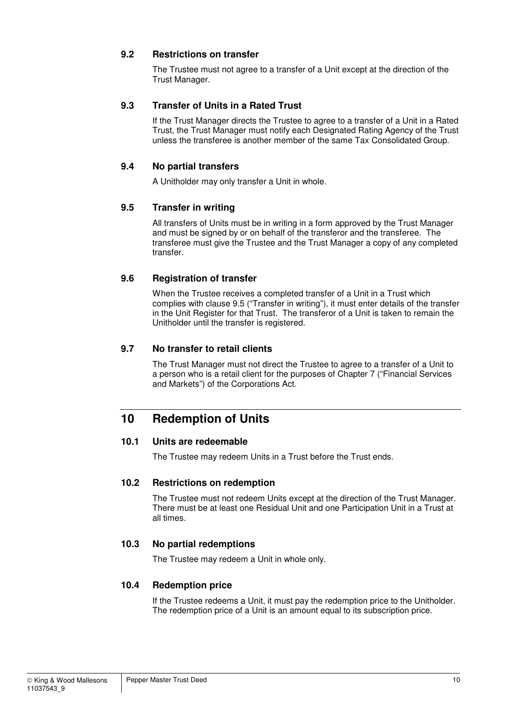#### **9.2 Restrictions on transfer**

The Trustee must not agree to a transfer of a Unit except at the direction of the Trust Manager.

#### **9.3 Transfer of Units in a Rated Trust**

If the Trust Manager directs the Trustee to agree to a transfer of a Unit in a Rated Trust, the Trust Manager must notify each Designated Rating Agency of the Trust unless the transferee is another member of the same Tax Consolidated Group.

#### **9.4 No partial transfers**

A Unitholder may only transfer a Unit in whole.

#### **9.5 Transfer in writing**

All transfers of Units must be in writing in a form approved by the Trust Manager and must be signed by or on behalf of the transferor and the transferee. The transferee must give the Trustee and the Trust Manager a copy of any completed transfer.

#### **9.6 Registration of transfer**

When the Trustee receives a completed transfer of a Unit in a Trust which complies with clause 9.5 ("Transfer in writing"), it must enter details of the transfer in the Unit Register for that Trust. The transferor of a Unit is taken to remain the Unitholder until the transfer is registered.

#### **9.7 No transfer to retail clients**

The Trust Manager must not direct the Trustee to agree to a transfer of a Unit to a person who is a retail client for the purposes of Chapter 7 ("Financial Services and Markets") of the Corporations Act.

## **10 Redemption of Units**

#### **10.1 Units are redeemable**

The Trustee may redeem Units in a Trust before the Trust ends.

#### **10.2 Restrictions on redemption**

The Trustee must not redeem Units except at the direction of the Trust Manager. There must be at least one Residual Unit and one Participation Unit in a Trust at all times.

#### **10.3 No partial redemptions**

The Trustee may redeem a Unit in whole only.

#### **10.4 Redemption price**

If the Trustee redeems a Unit, it must pay the redemption price to the Unitholder. The redemption price of a Unit is an amount equal to its subscription price.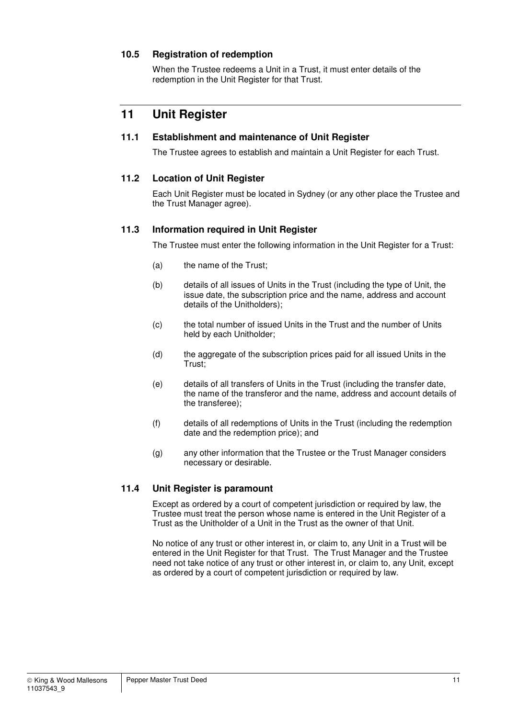#### **10.5 Registration of redemption**

When the Trustee redeems a Unit in a Trust, it must enter details of the redemption in the Unit Register for that Trust.

## **11 Unit Register**

#### **11.1 Establishment and maintenance of Unit Register**

The Trustee agrees to establish and maintain a Unit Register for each Trust.

#### **11.2 Location of Unit Register**

Each Unit Register must be located in Sydney (or any other place the Trustee and the Trust Manager agree).

#### **11.3 Information required in Unit Register**

The Trustee must enter the following information in the Unit Register for a Trust:

- (a) the name of the Trust;
- (b) details of all issues of Units in the Trust (including the type of Unit, the issue date, the subscription price and the name, address and account details of the Unitholders);
- (c) the total number of issued Units in the Trust and the number of Units held by each Unitholder;
- (d) the aggregate of the subscription prices paid for all issued Units in the Trust;
- (e) details of all transfers of Units in the Trust (including the transfer date, the name of the transferor and the name, address and account details of the transferee);
- (f) details of all redemptions of Units in the Trust (including the redemption date and the redemption price); and
- (g) any other information that the Trustee or the Trust Manager considers necessary or desirable.

#### **11.4 Unit Register is paramount**

Except as ordered by a court of competent jurisdiction or required by law, the Trustee must treat the person whose name is entered in the Unit Register of a Trust as the Unitholder of a Unit in the Trust as the owner of that Unit.

No notice of any trust or other interest in, or claim to, any Unit in a Trust will be entered in the Unit Register for that Trust. The Trust Manager and the Trustee need not take notice of any trust or other interest in, or claim to, any Unit, except as ordered by a court of competent jurisdiction or required by law.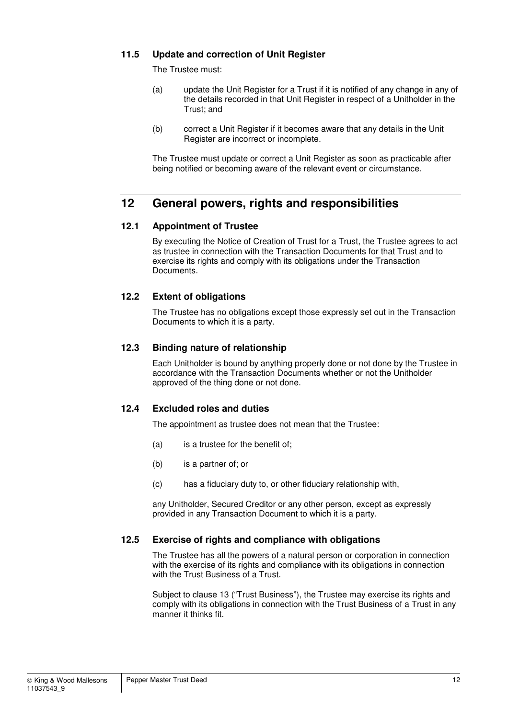#### **11.5 Update and correction of Unit Register**

The Trustee must:

- (a) update the Unit Register for a Trust if it is notified of any change in any of the details recorded in that Unit Register in respect of a Unitholder in the Trust; and
- (b) correct a Unit Register if it becomes aware that any details in the Unit Register are incorrect or incomplete.

The Trustee must update or correct a Unit Register as soon as practicable after being notified or becoming aware of the relevant event or circumstance.

## **12 General powers, rights and responsibilities**

#### **12.1 Appointment of Trustee**

By executing the Notice of Creation of Trust for a Trust, the Trustee agrees to act as trustee in connection with the Transaction Documents for that Trust and to exercise its rights and comply with its obligations under the Transaction Documents.

#### **12.2 Extent of obligations**

The Trustee has no obligations except those expressly set out in the Transaction Documents to which it is a party.

#### **12.3 Binding nature of relationship**

Each Unitholder is bound by anything properly done or not done by the Trustee in accordance with the Transaction Documents whether or not the Unitholder approved of the thing done or not done.

#### **12.4 Excluded roles and duties**

The appointment as trustee does not mean that the Trustee:

- (a) is a trustee for the benefit of:
- (b) is a partner of; or
- (c) has a fiduciary duty to, or other fiduciary relationship with,

any Unitholder, Secured Creditor or any other person, except as expressly provided in any Transaction Document to which it is a party.

#### **12.5 Exercise of rights and compliance with obligations**

The Trustee has all the powers of a natural person or corporation in connection with the exercise of its rights and compliance with its obligations in connection with the Trust Business of a Trust.

Subject to clause 13 ("Trust Business"), the Trustee may exercise its rights and comply with its obligations in connection with the Trust Business of a Trust in any manner it thinks fit.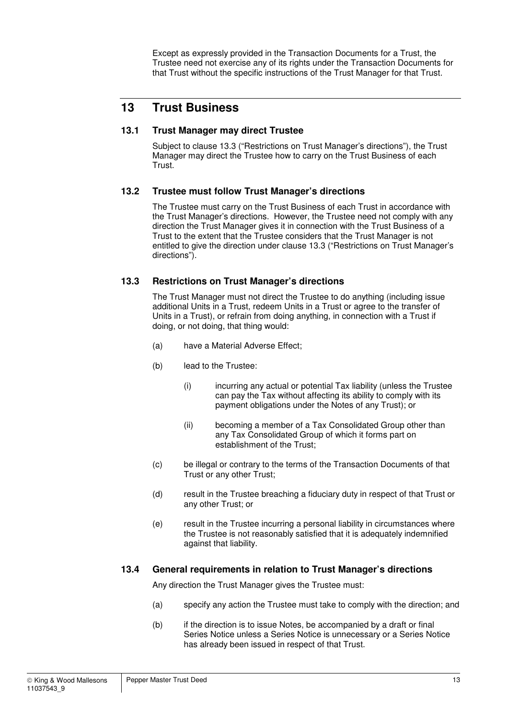Except as expressly provided in the Transaction Documents for a Trust, the Trustee need not exercise any of its rights under the Transaction Documents for that Trust without the specific instructions of the Trust Manager for that Trust.

## **13 Trust Business**

#### **13.1 Trust Manager may direct Trustee**

Subject to clause 13.3 ("Restrictions on Trust Manager's directions"), the Trust Manager may direct the Trustee how to carry on the Trust Business of each Trust.

#### **13.2 Trustee must follow Trust Manager's directions**

The Trustee must carry on the Trust Business of each Trust in accordance with the Trust Manager's directions. However, the Trustee need not comply with any direction the Trust Manager gives it in connection with the Trust Business of a Trust to the extent that the Trustee considers that the Trust Manager is not entitled to give the direction under clause 13.3 ("Restrictions on Trust Manager's directions").

#### **13.3 Restrictions on Trust Manager's directions**

The Trust Manager must not direct the Trustee to do anything (including issue additional Units in a Trust, redeem Units in a Trust or agree to the transfer of Units in a Trust), or refrain from doing anything, in connection with a Trust if doing, or not doing, that thing would:

- (a) have a Material Adverse Effect;
- (b) lead to the Trustee:
	- (i) incurring any actual or potential Tax liability (unless the Trustee can pay the Tax without affecting its ability to comply with its payment obligations under the Notes of any Trust); or
	- (ii) becoming a member of a Tax Consolidated Group other than any Tax Consolidated Group of which it forms part on establishment of the Trust;
- (c) be illegal or contrary to the terms of the Transaction Documents of that Trust or any other Trust;
- (d) result in the Trustee breaching a fiduciary duty in respect of that Trust or any other Trust; or
- (e) result in the Trustee incurring a personal liability in circumstances where the Trustee is not reasonably satisfied that it is adequately indemnified against that liability.

#### **13.4 General requirements in relation to Trust Manager's directions**

Any direction the Trust Manager gives the Trustee must:

- (a) specify any action the Trustee must take to comply with the direction; and
- (b) if the direction is to issue Notes, be accompanied by a draft or final Series Notice unless a Series Notice is unnecessary or a Series Notice has already been issued in respect of that Trust.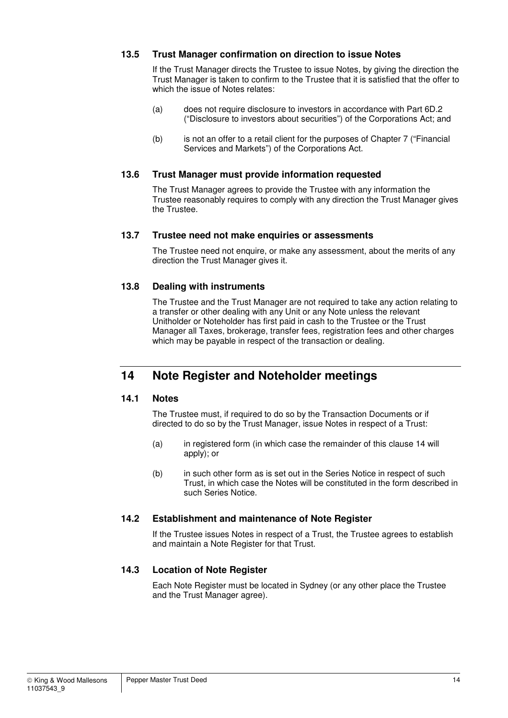#### **13.5 Trust Manager confirmation on direction to issue Notes**

If the Trust Manager directs the Trustee to issue Notes, by giving the direction the Trust Manager is taken to confirm to the Trustee that it is satisfied that the offer to which the issue of Notes relates:

- (a) does not require disclosure to investors in accordance with Part 6D.2 ("Disclosure to investors about securities") of the Corporations Act: and
- (b) is not an offer to a retail client for the purposes of Chapter 7 ("Financial Services and Markets") of the Corporations Act.

#### **13.6 Trust Manager must provide information requested**

The Trust Manager agrees to provide the Trustee with any information the Trustee reasonably requires to comply with any direction the Trust Manager gives the Trustee.

#### **13.7 Trustee need not make enquiries or assessments**

The Trustee need not enquire, or make any assessment, about the merits of any direction the Trust Manager gives it.

#### **13.8 Dealing with instruments**

The Trustee and the Trust Manager are not required to take any action relating to a transfer or other dealing with any Unit or any Note unless the relevant Unitholder or Noteholder has first paid in cash to the Trustee or the Trust Manager all Taxes, brokerage, transfer fees, registration fees and other charges which may be payable in respect of the transaction or dealing.

## **14 Note Register and Noteholder meetings**

#### **14.1 Notes**

The Trustee must, if required to do so by the Transaction Documents or if directed to do so by the Trust Manager, issue Notes in respect of a Trust:

- (a) in registered form (in which case the remainder of this clause 14 will apply); or
- (b) in such other form as is set out in the Series Notice in respect of such Trust, in which case the Notes will be constituted in the form described in such Series Notice.

#### **14.2 Establishment and maintenance of Note Register**

If the Trustee issues Notes in respect of a Trust, the Trustee agrees to establish and maintain a Note Register for that Trust.

#### **14.3 Location of Note Register**

Each Note Register must be located in Sydney (or any other place the Trustee and the Trust Manager agree).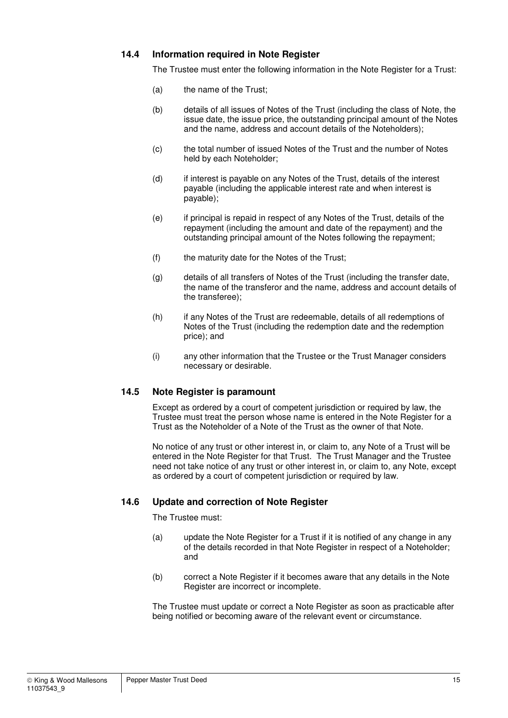#### **14.4 Information required in Note Register**

The Trustee must enter the following information in the Note Register for a Trust:

- (a) the name of the Trust;
- (b) details of all issues of Notes of the Trust (including the class of Note, the issue date, the issue price, the outstanding principal amount of the Notes and the name, address and account details of the Noteholders);
- (c) the total number of issued Notes of the Trust and the number of Notes held by each Noteholder;
- (d) if interest is payable on any Notes of the Trust, details of the interest payable (including the applicable interest rate and when interest is payable);
- (e) if principal is repaid in respect of any Notes of the Trust, details of the repayment (including the amount and date of the repayment) and the outstanding principal amount of the Notes following the repayment;
- (f) the maturity date for the Notes of the Trust;
- (g) details of all transfers of Notes of the Trust (including the transfer date, the name of the transferor and the name, address and account details of the transferee);
- (h) if any Notes of the Trust are redeemable, details of all redemptions of Notes of the Trust (including the redemption date and the redemption price); and
- (i) any other information that the Trustee or the Trust Manager considers necessary or desirable.

#### **14.5 Note Register is paramount**

Except as ordered by a court of competent jurisdiction or required by law, the Trustee must treat the person whose name is entered in the Note Register for a Trust as the Noteholder of a Note of the Trust as the owner of that Note.

No notice of any trust or other interest in, or claim to, any Note of a Trust will be entered in the Note Register for that Trust. The Trust Manager and the Trustee need not take notice of any trust or other interest in, or claim to, any Note, except as ordered by a court of competent jurisdiction or required by law.

#### **14.6 Update and correction of Note Register**

The Trustee must:

- (a) update the Note Register for a Trust if it is notified of any change in any of the details recorded in that Note Register in respect of a Noteholder; and
- (b) correct a Note Register if it becomes aware that any details in the Note Register are incorrect or incomplete.

The Trustee must update or correct a Note Register as soon as practicable after being notified or becoming aware of the relevant event or circumstance.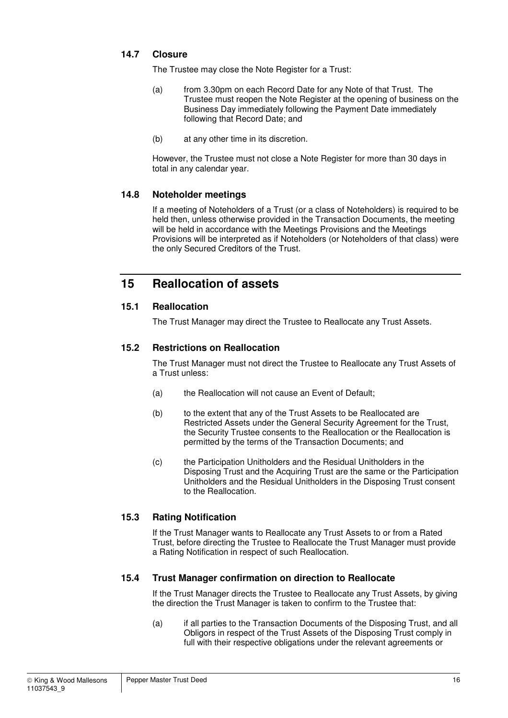#### **14.7 Closure**

The Trustee may close the Note Register for a Trust:

- (a) from 3.30pm on each Record Date for any Note of that Trust. The Trustee must reopen the Note Register at the opening of business on the Business Day immediately following the Payment Date immediately following that Record Date; and
- (b) at any other time in its discretion.

However, the Trustee must not close a Note Register for more than 30 days in total in any calendar year.

#### **14.8 Noteholder meetings**

If a meeting of Noteholders of a Trust (or a class of Noteholders) is required to be held then, unless otherwise provided in the Transaction Documents, the meeting will be held in accordance with the Meetings Provisions and the Meetings Provisions will be interpreted as if Noteholders (or Noteholders of that class) were the only Secured Creditors of the Trust.

## **15 Reallocation of assets**

#### **15.1 Reallocation**

The Trust Manager may direct the Trustee to Reallocate any Trust Assets.

#### **15.2 Restrictions on Reallocation**

The Trust Manager must not direct the Trustee to Reallocate any Trust Assets of a Trust unless:

- (a) the Reallocation will not cause an Event of Default;
- (b) to the extent that any of the Trust Assets to be Reallocated are Restricted Assets under the General Security Agreement for the Trust, the Security Trustee consents to the Reallocation or the Reallocation is permitted by the terms of the Transaction Documents; and
- (c) the Participation Unitholders and the Residual Unitholders in the Disposing Trust and the Acquiring Trust are the same or the Participation Unitholders and the Residual Unitholders in the Disposing Trust consent to the Reallocation.

#### **15.3 Rating Notification**

If the Trust Manager wants to Reallocate any Trust Assets to or from a Rated Trust, before directing the Trustee to Reallocate the Trust Manager must provide a Rating Notification in respect of such Reallocation.

#### **15.4 Trust Manager confirmation on direction to Reallocate**

If the Trust Manager directs the Trustee to Reallocate any Trust Assets, by giving the direction the Trust Manager is taken to confirm to the Trustee that:

(a) if all parties to the Transaction Documents of the Disposing Trust, and all Obligors in respect of the Trust Assets of the Disposing Trust comply in full with their respective obligations under the relevant agreements or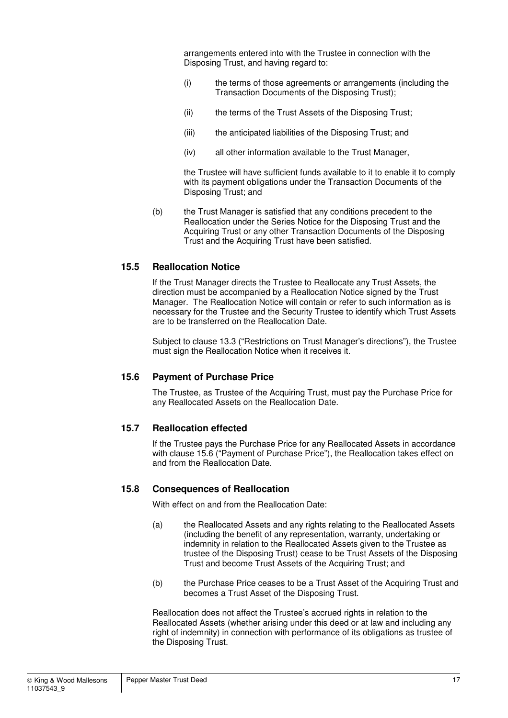arrangements entered into with the Trustee in connection with the Disposing Trust, and having regard to:

- (i) the terms of those agreements or arrangements (including the Transaction Documents of the Disposing Trust);
- (ii) the terms of the Trust Assets of the Disposing Trust;
- (iii) the anticipated liabilities of the Disposing Trust; and
- (iv) all other information available to the Trust Manager,

the Trustee will have sufficient funds available to it to enable it to comply with its payment obligations under the Transaction Documents of the Disposing Trust; and

(b) the Trust Manager is satisfied that any conditions precedent to the Reallocation under the Series Notice for the Disposing Trust and the Acquiring Trust or any other Transaction Documents of the Disposing Trust and the Acquiring Trust have been satisfied.

#### **15.5 Reallocation Notice**

If the Trust Manager directs the Trustee to Reallocate any Trust Assets, the direction must be accompanied by a Reallocation Notice signed by the Trust Manager. The Reallocation Notice will contain or refer to such information as is necessary for the Trustee and the Security Trustee to identify which Trust Assets are to be transferred on the Reallocation Date.

Subject to clause 13.3 ("Restrictions on Trust Manager's directions"), the Trustee must sign the Reallocation Notice when it receives it.

#### **15.6 Payment of Purchase Price**

The Trustee, as Trustee of the Acquiring Trust, must pay the Purchase Price for any Reallocated Assets on the Reallocation Date.

#### **15.7 Reallocation effected**

If the Trustee pays the Purchase Price for any Reallocated Assets in accordance with clause 15.6 ("Payment of Purchase Price"), the Reallocation takes effect on and from the Reallocation Date.

#### **15.8 Consequences of Reallocation**

With effect on and from the Reallocation Date:

- (a) the Reallocated Assets and any rights relating to the Reallocated Assets (including the benefit of any representation, warranty, undertaking or indemnity in relation to the Reallocated Assets given to the Trustee as trustee of the Disposing Trust) cease to be Trust Assets of the Disposing Trust and become Trust Assets of the Acquiring Trust; and
- (b) the Purchase Price ceases to be a Trust Asset of the Acquiring Trust and becomes a Trust Asset of the Disposing Trust.

Reallocation does not affect the Trustee's accrued rights in relation to the Reallocated Assets (whether arising under this deed or at law and including any right of indemnity) in connection with performance of its obligations as trustee of the Disposing Trust.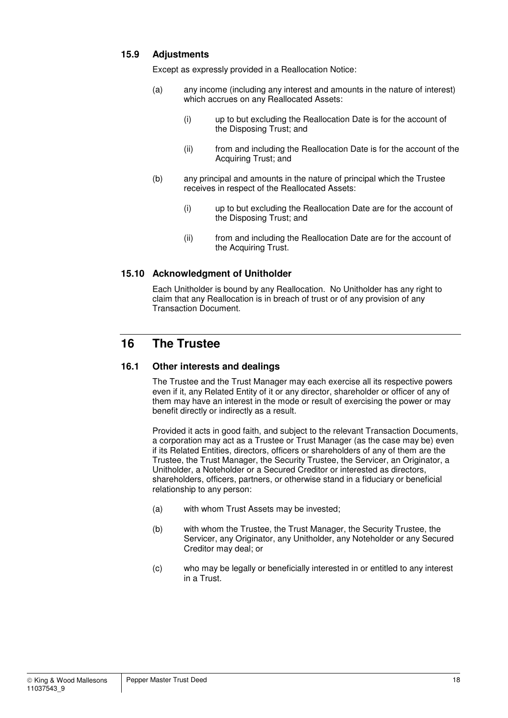#### **15.9 Adjustments**

Except as expressly provided in a Reallocation Notice:

- (a) any income (including any interest and amounts in the nature of interest) which accrues on any Reallocated Assets:
	- (i) up to but excluding the Reallocation Date is for the account of the Disposing Trust; and
	- (ii) from and including the Reallocation Date is for the account of the Acquiring Trust; and
- (b) any principal and amounts in the nature of principal which the Trustee receives in respect of the Reallocated Assets:
	- (i) up to but excluding the Reallocation Date are for the account of the Disposing Trust; and
	- (ii) from and including the Reallocation Date are for the account of the Acquiring Trust.

#### **15.10 Acknowledgment of Unitholder**

Each Unitholder is bound by any Reallocation. No Unitholder has any right to claim that any Reallocation is in breach of trust or of any provision of any Transaction Document.

## **16 The Trustee**

#### **16.1 Other interests and dealings**

The Trustee and the Trust Manager may each exercise all its respective powers even if it, any Related Entity of it or any director, shareholder or officer of any of them may have an interest in the mode or result of exercising the power or may benefit directly or indirectly as a result.

Provided it acts in good faith, and subject to the relevant Transaction Documents, a corporation may act as a Trustee or Trust Manager (as the case may be) even if its Related Entities, directors, officers or shareholders of any of them are the Trustee, the Trust Manager, the Security Trustee, the Servicer, an Originator, a Unitholder, a Noteholder or a Secured Creditor or interested as directors, shareholders, officers, partners, or otherwise stand in a fiduciary or beneficial relationship to any person:

- (a) with whom Trust Assets may be invested;
- (b) with whom the Trustee, the Trust Manager, the Security Trustee, the Servicer, any Originator, any Unitholder, any Noteholder or any Secured Creditor may deal; or
- (c) who may be legally or beneficially interested in or entitled to any interest in a Trust.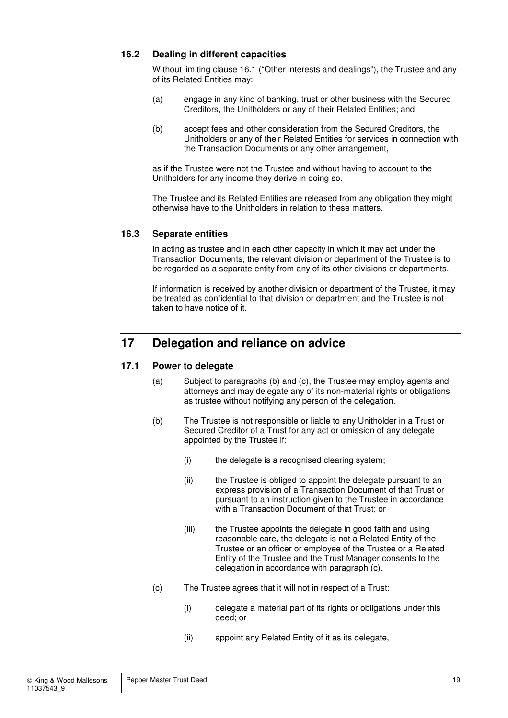#### **16.2 Dealing in different capacities**

Without limiting clause 16.1 ("Other interests and dealings"), the Trustee and any of its Related Entities may:

- (a) engage in any kind of banking, trust or other business with the Secured Creditors, the Unitholders or any of their Related Entities; and
- (b) accept fees and other consideration from the Secured Creditors, the Unitholders or any of their Related Entities for services in connection with the Transaction Documents or any other arrangement,

as if the Trustee were not the Trustee and without having to account to the Unitholders for any income they derive in doing so.

The Trustee and its Related Entities are released from any obligation they might otherwise have to the Unitholders in relation to these matters.

#### **16.3 Separate entities**

In acting as trustee and in each other capacity in which it may act under the Transaction Documents, the relevant division or department of the Trustee is to be regarded as a separate entity from any of its other divisions or departments.

If information is received by another division or department of the Trustee, it may be treated as confidential to that division or department and the Trustee is not taken to have notice of it.

### **17 Delegation and reliance on advice**

#### **17.1 Power to delegate**

- (a) Subject to paragraphs (b) and (c), the Trustee may employ agents and attorneys and may delegate any of its non-material rights or obligations as trustee without notifying any person of the delegation.
- (b) The Trustee is not responsible or liable to any Unitholder in a Trust or Secured Creditor of a Trust for any act or omission of any delegate appointed by the Trustee if:
	- (i) the delegate is a recognised clearing system;
	- (ii) the Trustee is obliged to appoint the delegate pursuant to an express provision of a Transaction Document of that Trust or pursuant to an instruction given to the Trustee in accordance with a Transaction Document of that Trust; or
	- (iii) the Trustee appoints the delegate in good faith and using reasonable care, the delegate is not a Related Entity of the Trustee or an officer or employee of the Trustee or a Related Entity of the Trustee and the Trust Manager consents to the delegation in accordance with paragraph (c).
- (c) The Trustee agrees that it will not in respect of a Trust:
	- (i) delegate a material part of its rights or obligations under this deed; or
	- (ii) appoint any Related Entity of it as its delegate,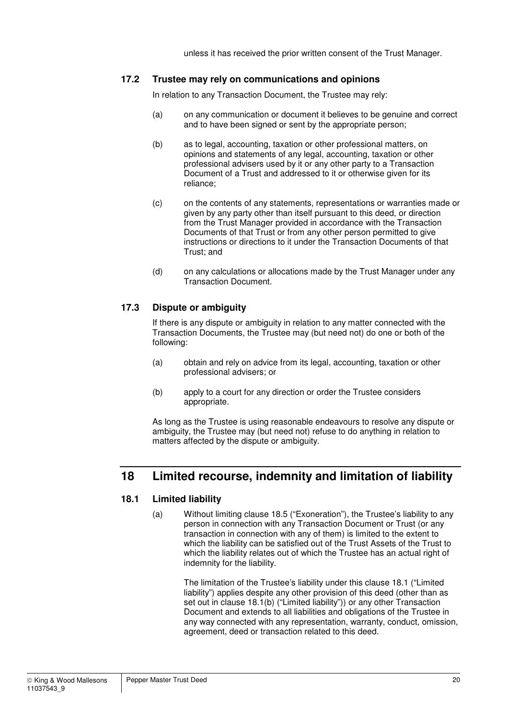unless it has received the prior written consent of the Trust Manager.

#### **17.2 Trustee may rely on communications and opinions**

In relation to any Transaction Document, the Trustee may rely:

- (a) on any communication or document it believes to be genuine and correct and to have been signed or sent by the appropriate person:
- (b) as to legal, accounting, taxation or other professional matters, on opinions and statements of any legal, accounting, taxation or other professional advisers used by it or any other party to a Transaction Document of a Trust and addressed to it or otherwise given for its reliance;
- (c) on the contents of any statements, representations or warranties made or given by any party other than itself pursuant to this deed, or direction from the Trust Manager provided in accordance with the Transaction Documents of that Trust or from any other person permitted to give instructions or directions to it under the Transaction Documents of that Trust; and
- (d) on any calculations or allocations made by the Trust Manager under any Transaction Document.

#### **17.3 Dispute or ambiguity**

If there is any dispute or ambiguity in relation to any matter connected with the Transaction Documents, the Trustee may (but need not) do one or both of the following:

- (a) obtain and rely on advice from its legal, accounting, taxation or other professional advisers; or
- (b) apply to a court for any direction or order the Trustee considers appropriate.

As long as the Trustee is using reasonable endeavours to resolve any dispute or ambiguity, the Trustee may (but need not) refuse to do anything in relation to matters affected by the dispute or ambiguity.

### **18 Limited recourse, indemnity and limitation of liability**

#### **18.1 Limited liability**

(a) Without limiting clause 18.5 ("Exoneration"), the Trustee's liability to any person in connection with any Transaction Document or Trust (or any transaction in connection with any of them) is limited to the extent to which the liability can be satisfied out of the Trust Assets of the Trust to which the liability relates out of which the Trustee has an actual right of indemnity for the liability.

> The limitation of the Trustee's liability under this clause 18.1 ("Limited liability") applies despite any other provision of this deed (other than as set out in clause 18.1(b) ("Limited liability")) or any other Transaction Document and extends to all liabilities and obligations of the Trustee in any way connected with any representation, warranty, conduct, omission, agreement, deed or transaction related to this deed.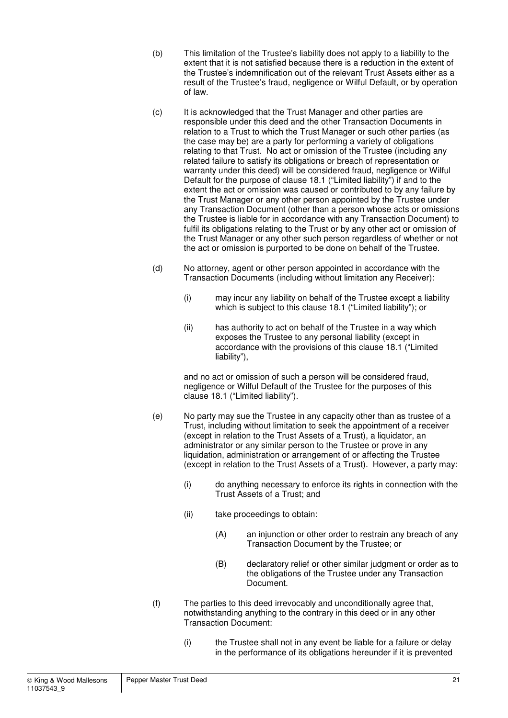- (b) This limitation of the Trustee's liability does not apply to a liability to the extent that it is not satisfied because there is a reduction in the extent of the Trustee's indemnification out of the relevant Trust Assets either as a result of the Trustee's fraud, negligence or Wilful Default, or by operation of law.
- (c) It is acknowledged that the Trust Manager and other parties are responsible under this deed and the other Transaction Documents in relation to a Trust to which the Trust Manager or such other parties (as the case may be) are a party for performing a variety of obligations relating to that Trust. No act or omission of the Trustee (including any related failure to satisfy its obligations or breach of representation or warranty under this deed) will be considered fraud, negligence or Wilful Default for the purpose of clause 18.1 ("Limited liability") if and to the extent the act or omission was caused or contributed to by any failure by the Trust Manager or any other person appointed by the Trustee under any Transaction Document (other than a person whose acts or omissions the Trustee is liable for in accordance with any Transaction Document) to fulfil its obligations relating to the Trust or by any other act or omission of the Trust Manager or any other such person regardless of whether or not the act or omission is purported to be done on behalf of the Trustee.
- (d) No attorney, agent or other person appointed in accordance with the Transaction Documents (including without limitation any Receiver):
	- (i) may incur any liability on behalf of the Trustee except a liability which is subject to this clause 18.1 ("Limited liability"); or
	- (ii) has authority to act on behalf of the Trustee in a way which exposes the Trustee to any personal liability (except in accordance with the provisions of this clause 18.1 ("Limited liability"),

and no act or omission of such a person will be considered fraud, negligence or Wilful Default of the Trustee for the purposes of this clause 18.1 ("Limited liability").

- (e) No party may sue the Trustee in any capacity other than as trustee of a Trust, including without limitation to seek the appointment of a receiver (except in relation to the Trust Assets of a Trust), a liquidator, an administrator or any similar person to the Trustee or prove in any liquidation, administration or arrangement of or affecting the Trustee (except in relation to the Trust Assets of a Trust). However, a party may:
	- (i) do anything necessary to enforce its rights in connection with the Trust Assets of a Trust; and
	- (ii) take proceedings to obtain:
		- (A) an injunction or other order to restrain any breach of any Transaction Document by the Trustee; or
		- (B) declaratory relief or other similar judgment or order as to the obligations of the Trustee under any Transaction Document.
- (f) The parties to this deed irrevocably and unconditionally agree that, notwithstanding anything to the contrary in this deed or in any other Transaction Document:
	- (i) the Trustee shall not in any event be liable for a failure or delay in the performance of its obligations hereunder if it is prevented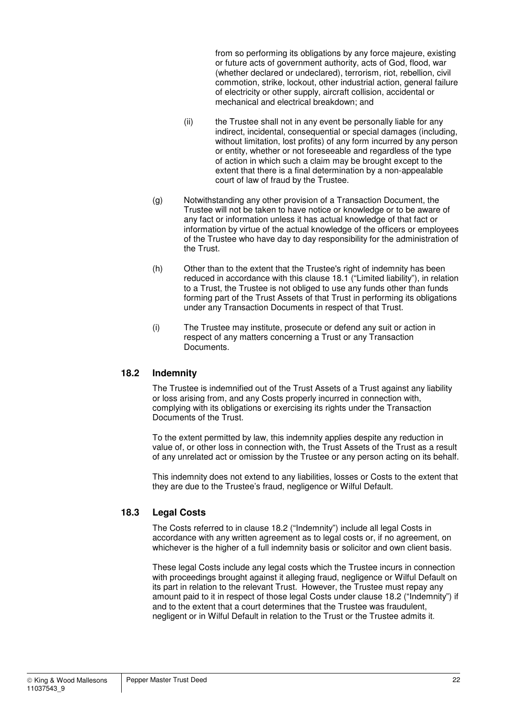from so performing its obligations by any force majeure, existing or future acts of government authority, acts of God, flood, war (whether declared or undeclared), terrorism, riot, rebellion, civil commotion, strike, lockout, other industrial action, general failure of electricity or other supply, aircraft collision, accidental or mechanical and electrical breakdown; and

- (ii) the Trustee shall not in any event be personally liable for any indirect, incidental, consequential or special damages (including, without limitation, lost profits) of any form incurred by any person or entity, whether or not foreseeable and regardless of the type of action in which such a claim may be brought except to the extent that there is a final determination by a non-appealable court of law of fraud by the Trustee.
- (g) Notwithstanding any other provision of a Transaction Document, the Trustee will not be taken to have notice or knowledge or to be aware of any fact or information unless it has actual knowledge of that fact or information by virtue of the actual knowledge of the officers or employees of the Trustee who have day to day responsibility for the administration of the Trust.
- (h) Other than to the extent that the Trustee's right of indemnity has been reduced in accordance with this clause 18.1 ("Limited liability"), in relation to a Trust, the Trustee is not obliged to use any funds other than funds forming part of the Trust Assets of that Trust in performing its obligations under any Transaction Documents in respect of that Trust.
- (i) The Trustee may institute, prosecute or defend any suit or action in respect of any matters concerning a Trust or any Transaction Documents.

#### **18.2 Indemnity**

The Trustee is indemnified out of the Trust Assets of a Trust against any liability or loss arising from, and any Costs properly incurred in connection with, complying with its obligations or exercising its rights under the Transaction Documents of the Trust.

To the extent permitted by law, this indemnity applies despite any reduction in value of, or other loss in connection with, the Trust Assets of the Trust as a result of any unrelated act or omission by the Trustee or any person acting on its behalf.

This indemnity does not extend to any liabilities, losses or Costs to the extent that they are due to the Trustee's fraud, negligence or Wilful Default.

#### **18.3 Legal Costs**

The Costs referred to in clause 18.2 ("Indemnity") include all legal Costs in accordance with any written agreement as to legal costs or, if no agreement, on whichever is the higher of a full indemnity basis or solicitor and own client basis.

These legal Costs include any legal costs which the Trustee incurs in connection with proceedings brought against it alleging fraud, negligence or Wilful Default on its part in relation to the relevant Trust.However, the Trustee must repay any amount paid to it in respect of those legal Costs under clause 18.2 ("Indemnity") if and to the extent that a court determines that the Trustee was fraudulent, negligent or in Wilful Default in relation to the Trust or the Trustee admits it.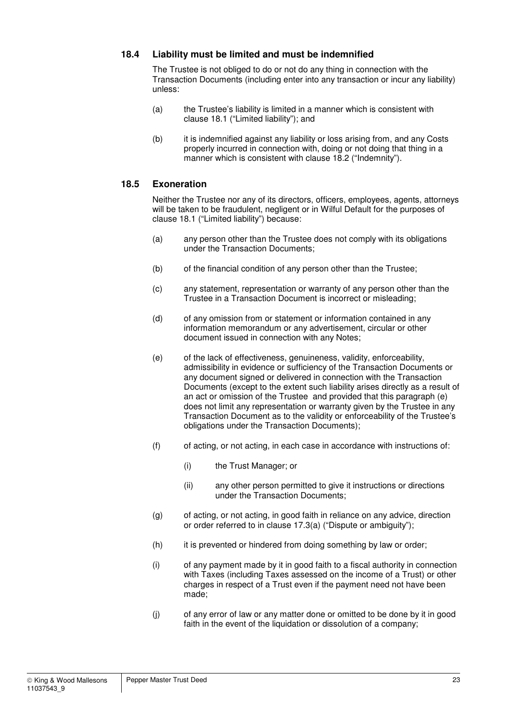#### **18.4 Liability must be limited and must be indemnified**

The Trustee is not obliged to do or not do any thing in connection with the Transaction Documents (including enter into any transaction or incur any liability) unless:

- (a) the Trustee's liability is limited in a manner which is consistent with clause 18.1 ("Limited liability"); and
- (b) it is indemnified against any liability or loss arising from, and any Costs properly incurred in connection with, doing or not doing that thing in a manner which is consistent with clause 18.2 ("Indemnity").

#### **18.5 Exoneration**

Neither the Trustee nor any of its directors, officers, employees, agents, attorneys will be taken to be fraudulent, negligent or in Wilful Default for the purposes of clause 18.1 ("Limited liability") because:

- (a) any person other than the Trustee does not comply with its obligations under the Transaction Documents;
- (b) of the financial condition of any person other than the Trustee;
- (c) any statement, representation or warranty of any person other than the Trustee in a Transaction Document is incorrect or misleading;
- (d) of any omission from or statement or information contained in any information memorandum or any advertisement, circular or other document issued in connection with any Notes;
- (e) of the lack of effectiveness, genuineness, validity, enforceability, admissibility in evidence or sufficiency of the Transaction Documents or any document signed or delivered in connection with the Transaction Documents (except to the extent such liability arises directly as a result of an act or omission of the Trustee and provided that this paragraph (e) does not limit any representation or warranty given by the Trustee in any Transaction Document as to the validity or enforceability of the Trustee's obligations under the Transaction Documents);
- (f) of acting, or not acting, in each case in accordance with instructions of:
	- (i) the Trust Manager; or
	- (ii) any other person permitted to give it instructions or directions under the Transaction Documents;
- (g) of acting, or not acting, in good faith in reliance on any advice, direction or order referred to in clause 17.3(a) ("Dispute or ambiguity");
- (h) it is prevented or hindered from doing something by law or order;
- (i) of any payment made by it in good faith to a fiscal authority in connection with Taxes (including Taxes assessed on the income of a Trust) or other charges in respect of a Trust even if the payment need not have been made;
- (j) of any error of law or any matter done or omitted to be done by it in good faith in the event of the liquidation or dissolution of a company: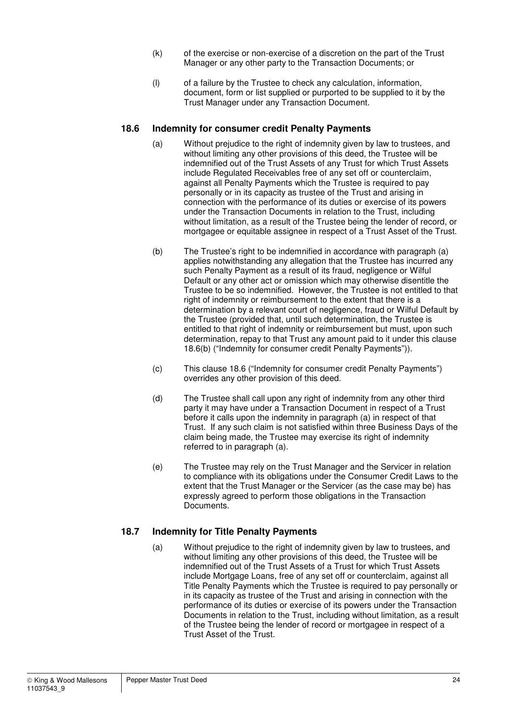- (k) of the exercise or non-exercise of a discretion on the part of the Trust Manager or any other party to the Transaction Documents; or
- (l) of a failure by the Trustee to check any calculation, information, document, form or list supplied or purported to be supplied to it by the Trust Manager under any Transaction Document.

#### **18.6 Indemnity for consumer credit Penalty Payments**

- (a) Without prejudice to the right of indemnity given by law to trustees, and without limiting any other provisions of this deed, the Trustee will be indemnified out of the Trust Assets of any Trust for which Trust Assets include Regulated Receivables free of any set off or counterclaim, against all Penalty Payments which the Trustee is required to pay personally or in its capacity as trustee of the Trust and arising in connection with the performance of its duties or exercise of its powers under the Transaction Documents in relation to the Trust, including without limitation, as a result of the Trustee being the lender of record, or mortgagee or equitable assignee in respect of a Trust Asset of the Trust.
- (b) The Trustee's right to be indemnified in accordance with paragraph (a) applies notwithstanding any allegation that the Trustee has incurred any such Penalty Payment as a result of its fraud, negligence or Wilful Default or any other act or omission which may otherwise disentitle the Trustee to be so indemnified. However, the Trustee is not entitled to that right of indemnity or reimbursement to the extent that there is a determination by a relevant court of negligence, fraud or Wilful Default by the Trustee (provided that, until such determination, the Trustee is entitled to that right of indemnity or reimbursement but must, upon such determination, repay to that Trust any amount paid to it under this clause 18.6(b) ("Indemnity for consumer credit Penalty Payments")).
- (c) This clause 18.6 ("Indemnity for consumer credit Penalty Payments") overrides any other provision of this deed.
- (d) The Trustee shall call upon any right of indemnity from any other third party it may have under a Transaction Document in respect of a Trust before it calls upon the indemnity in paragraph (a) in respect of that Trust. If any such claim is not satisfied within three Business Days of the claim being made, the Trustee may exercise its right of indemnity referred to in paragraph (a).
- (e) The Trustee may rely on the Trust Manager and the Servicer in relation to compliance with its obligations under the Consumer Credit Laws to the extent that the Trust Manager or the Servicer (as the case may be) has expressly agreed to perform those obligations in the Transaction Documents.

#### **18.7 Indemnity for Title Penalty Payments**

(a) Without prejudice to the right of indemnity given by law to trustees, and without limiting any other provisions of this deed, the Trustee will be indemnified out of the Trust Assets of a Trust for which Trust Assets include Mortgage Loans, free of any set off or counterclaim, against all Title Penalty Payments which the Trustee is required to pay personally or in its capacity as trustee of the Trust and arising in connection with the performance of its duties or exercise of its powers under the Transaction Documents in relation to the Trust, including without limitation, as a result of the Trustee being the lender of record or mortgagee in respect of a Trust Asset of the Trust.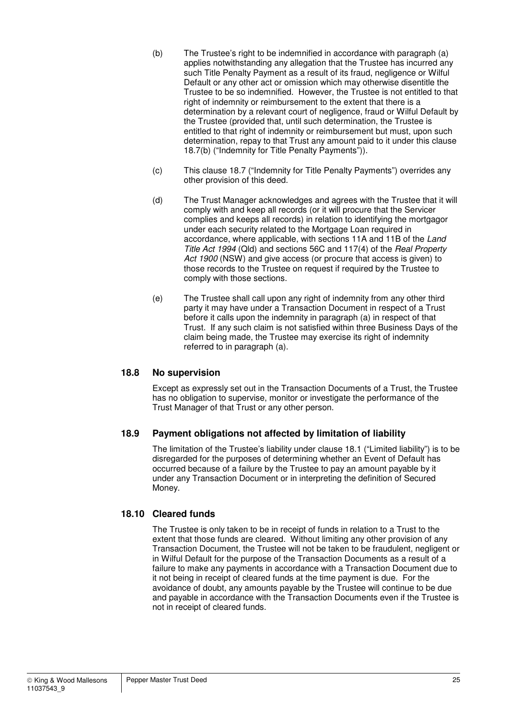- (b) The Trustee's right to be indemnified in accordance with paragraph (a) applies notwithstanding any allegation that the Trustee has incurred any such Title Penalty Payment as a result of its fraud, negligence or Wilful Default or any other act or omission which may otherwise disentitle the Trustee to be so indemnified. However, the Trustee is not entitled to that right of indemnity or reimbursement to the extent that there is a determination by a relevant court of negligence, fraud or Wilful Default by the Trustee (provided that, until such determination, the Trustee is entitled to that right of indemnity or reimbursement but must, upon such determination, repay to that Trust any amount paid to it under this clause 18.7(b) ("Indemnity for Title Penalty Payments")).
- (c) This clause 18.7 ("Indemnity for Title Penalty Payments") overrides any other provision of this deed.
- (d) The Trust Manager acknowledges and agrees with the Trustee that it will comply with and keep all records (or it will procure that the Servicer complies and keeps all records) in relation to identifying the mortgagor under each security related to the Mortgage Loan required in accordance, where applicable, with sections 11A and 11B of the Land Title Act 1994 (Qld) and sections 56C and 117(4) of the Real Property Act 1900 (NSW) and give access (or procure that access is given) to those records to the Trustee on request if required by the Trustee to comply with those sections.
- (e) The Trustee shall call upon any right of indemnity from any other third party it may have under a Transaction Document in respect of a Trust before it calls upon the indemnity in paragraph (a) in respect of that Trust. If any such claim is not satisfied within three Business Days of the claim being made, the Trustee may exercise its right of indemnity referred to in paragraph (a).

#### **18.8 No supervision**

Except as expressly set out in the Transaction Documents of a Trust, the Trustee has no obligation to supervise, monitor or investigate the performance of the Trust Manager of that Trust or any other person.

#### **18.9 Payment obligations not affected by limitation of liability**

The limitation of the Trustee's liability under clause 18.1 ("Limited liability") is to be disregarded for the purposes of determining whether an Event of Default has occurred because of a failure by the Trustee to pay an amount payable by it under any Transaction Document or in interpreting the definition of Secured Money.

#### **18.10 Cleared funds**

The Trustee is only taken to be in receipt of funds in relation to a Trust to the extent that those funds are cleared. Without limiting any other provision of any Transaction Document, the Trustee will not be taken to be fraudulent, negligent or in Wilful Default for the purpose of the Transaction Documents as a result of a failure to make any payments in accordance with a Transaction Document due to it not being in receipt of cleared funds at the time payment is due. For the avoidance of doubt, any amounts payable by the Trustee will continue to be due and payable in accordance with the Transaction Documents even if the Trustee is not in receipt of cleared funds.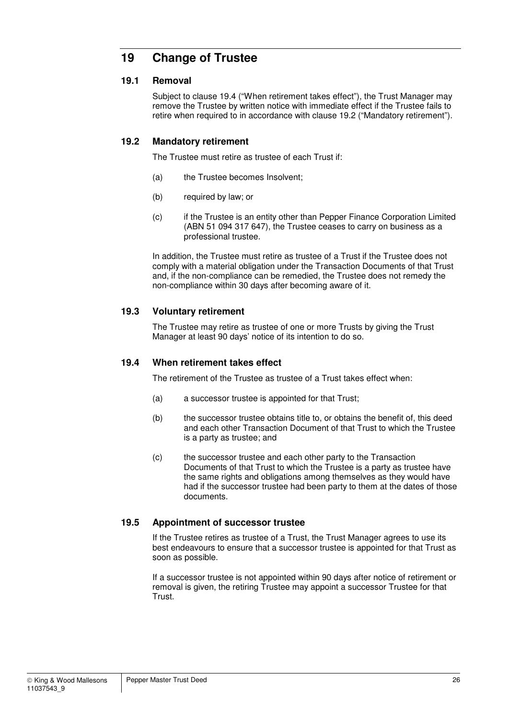## **19 Change of Trustee**

#### **19.1 Removal**

Subject to clause 19.4 ("When retirement takes effect"), the Trust Manager may remove the Trustee by written notice with immediate effect if the Trustee fails to retire when required to in accordance with clause 19.2 ("Mandatory retirement").

#### **19.2 Mandatory retirement**

The Trustee must retire as trustee of each Trust if:

- (a) the Trustee becomes Insolvent;
- (b) required by law; or
- (c) if the Trustee is an entity other than Pepper Finance Corporation Limited (ABN 51 094 317 647), the Trustee ceases to carry on business as a professional trustee.

In addition, the Trustee must retire as trustee of a Trust if the Trustee does not comply with a material obligation under the Transaction Documents of that Trust and, if the non-compliance can be remedied, the Trustee does not remedy the non-compliance within 30 days after becoming aware of it.

#### **19.3 Voluntary retirement**

The Trustee may retire as trustee of one or more Trusts by giving the Trust Manager at least 90 days' notice of its intention to do so.

#### **19.4 When retirement takes effect**

The retirement of the Trustee as trustee of a Trust takes effect when:

- (a) a successor trustee is appointed for that Trust;
- (b) the successor trustee obtains title to, or obtains the benefit of, this deed and each other Transaction Document of that Trust to which the Trustee is a party as trustee; and
- (c) the successor trustee and each other party to the Transaction Documents of that Trust to which the Trustee is a party as trustee have the same rights and obligations among themselves as they would have had if the successor trustee had been party to them at the dates of those documents.

#### **19.5 Appointment of successor trustee**

If the Trustee retires as trustee of a Trust, the Trust Manager agrees to use its best endeavours to ensure that a successor trustee is appointed for that Trust as soon as possible.

If a successor trustee is not appointed within 90 days after notice of retirement or removal is given, the retiring Trustee may appoint a successor Trustee for that **Trust.**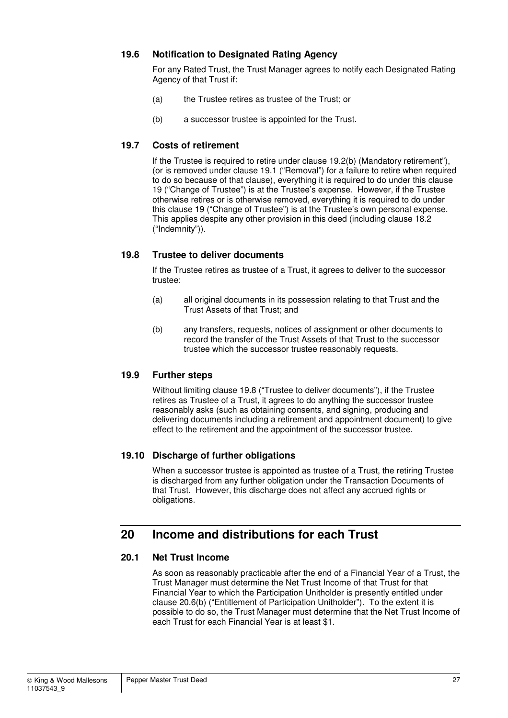#### **19.6 Notification to Designated Rating Agency**

For any Rated Trust, the Trust Manager agrees to notify each Designated Rating Agency of that Trust if:

- (a) the Trustee retires as trustee of the Trust; or
- (b) a successor trustee is appointed for the Trust.

#### **19.7 Costs of retirement**

If the Trustee is required to retire under clause 19.2(b) (Mandatory retirement"), (or is removed under clause 19.1 ("Removal") for a failure to retire when required to do so because of that clause), everything it is required to do under this clause 19 ("Change of Trustee") is at the Trustee's expense. However, if the Trustee otherwise retires or is otherwise removed, everything it is required to do under this clause 19 ("Change of Trustee") is at the Trustee's own personal expense. This applies despite any other provision in this deed (including clause 18.2 ("Indemnity")).

#### **19.8 Trustee to deliver documents**

If the Trustee retires as trustee of a Trust, it agrees to deliver to the successor trustee:

- (a) all original documents in its possession relating to that Trust and the Trust Assets of that Trust; and
- (b) any transfers, requests, notices of assignment or other documents to record the transfer of the Trust Assets of that Trust to the successor trustee which the successor trustee reasonably requests.

#### **19.9 Further steps**

Without limiting clause 19.8 ("Trustee to deliver documents"), if the Trustee retires as Trustee of a Trust, it agrees to do anything the successor trustee reasonably asks (such as obtaining consents, and signing, producing and delivering documents including a retirement and appointment document) to give effect to the retirement and the appointment of the successor trustee.

#### **19.10 Discharge of further obligations**

When a successor trustee is appointed as trustee of a Trust, the retiring Trustee is discharged from any further obligation under the Transaction Documents of that Trust. However, this discharge does not affect any accrued rights or obligations.

### **20 Income and distributions for each Trust**

#### **20.1 Net Trust Income**

As soon as reasonably practicable after the end of a Financial Year of a Trust, the Trust Manager must determine the Net Trust Income of that Trust for that Financial Year to which the Participation Unitholder is presently entitled under clause 20.6(b) ("Entitlement of Participation Unitholder"). To the extent it is possible to do so, the Trust Manager must determine that the Net Trust Income of each Trust for each Financial Year is at least \$1.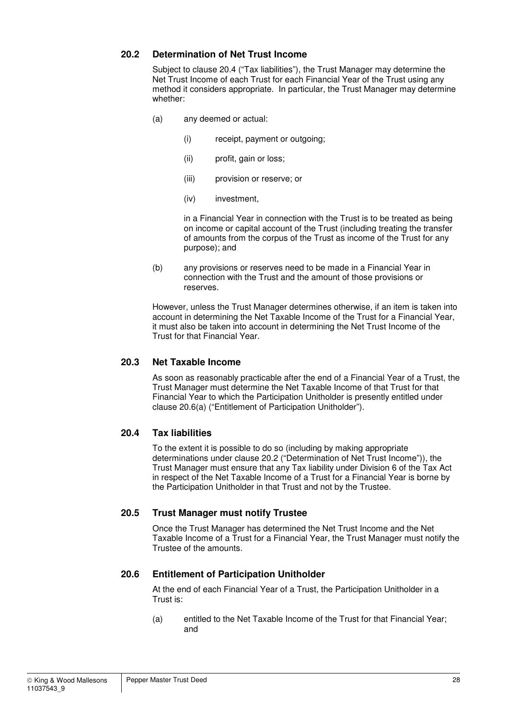#### **20.2 Determination of Net Trust Income**

Subject to clause 20.4 ("Tax liabilities"), the Trust Manager may determine the Net Trust Income of each Trust for each Financial Year of the Trust using any method it considers appropriate. In particular, the Trust Manager may determine whether:

- (a) any deemed or actual:
	- (i) receipt, payment or outgoing;
	- (ii) profit, gain or loss;
	- (iii) provision or reserve; or
	- (iv) investment,

in a Financial Year in connection with the Trust is to be treated as being on income or capital account of the Trust (including treating the transfer of amounts from the corpus of the Trust as income of the Trust for any purpose); and

(b) any provisions or reserves need to be made in a Financial Year in connection with the Trust and the amount of those provisions or reserves.

However, unless the Trust Manager determines otherwise, if an item is taken into account in determining the Net Taxable Income of the Trust for a Financial Year, it must also be taken into account in determining the Net Trust Income of the Trust for that Financial Year.

#### **20.3 Net Taxable Income**

As soon as reasonably practicable after the end of a Financial Year of a Trust, the Trust Manager must determine the Net Taxable Income of that Trust for that Financial Year to which the Participation Unitholder is presently entitled under clause 20.6(a) ("Entitlement of Participation Unitholder").

#### **20.4 Tax liabilities**

To the extent it is possible to do so (including by making appropriate determinations under clause 20.2 ("Determination of Net Trust Income")), the Trust Manager must ensure that any Tax liability under Division 6 of the Tax Act in respect of the Net Taxable Income of a Trust for a Financial Year is borne by the Participation Unitholder in that Trust and not by the Trustee.

#### **20.5 Trust Manager must notify Trustee**

Once the Trust Manager has determined the Net Trust Income and the Net Taxable Income of a Trust for a Financial Year, the Trust Manager must notify the Trustee of the amounts.

#### **20.6 Entitlement of Participation Unitholder**

At the end of each Financial Year of a Trust, the Participation Unitholder in a Trust is:

(a) entitled to the Net Taxable Income of the Trust for that Financial Year; and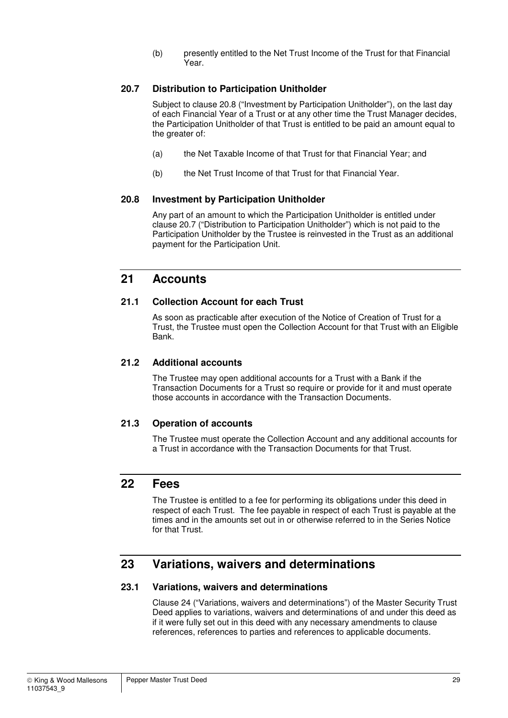(b) presently entitled to the Net Trust Income of the Trust for that Financial Year.

#### **20.7 Distribution to Participation Unitholder**

Subject to clause 20.8 ("Investment by Participation Unitholder"), on the last day of each Financial Year of a Trust or at any other time the Trust Manager decides, the Participation Unitholder of that Trust is entitled to be paid an amount equal to the greater of:

- (a) the Net Taxable Income of that Trust for that Financial Year; and
- (b) the Net Trust Income of that Trust for that Financial Year.

#### **20.8 Investment by Participation Unitholder**

Any part of an amount to which the Participation Unitholder is entitled under clause 20.7 ("Distribution to Participation Unitholder") which is not paid to the Participation Unitholder by the Trustee is reinvested in the Trust as an additional payment for the Participation Unit.

### **21 Accounts**

#### **21.1 Collection Account for each Trust**

As soon as practicable after execution of the Notice of Creation of Trust for a Trust, the Trustee must open the Collection Account for that Trust with an Eligible Bank.

#### **21.2 Additional accounts**

The Trustee may open additional accounts for a Trust with a Bank if the Transaction Documents for a Trust so require or provide for it and must operate those accounts in accordance with the Transaction Documents.

#### **21.3 Operation of accounts**

The Trustee must operate the Collection Account and any additional accounts for a Trust in accordance with the Transaction Documents for that Trust.

### **22 Fees**

The Trustee is entitled to a fee for performing its obligations under this deed in respect of each Trust. The fee payable in respect of each Trust is payable at the times and in the amounts set out in or otherwise referred to in the Series Notice for that Trust.

## **23 Variations, waivers and determinations**

#### **23.1 Variations, waivers and determinations**

Clause 24 ("Variations, waivers and determinations") of the Master Security Trust Deed applies to variations, waivers and determinations of and under this deed as if it were fully set out in this deed with any necessary amendments to clause references, references to parties and references to applicable documents.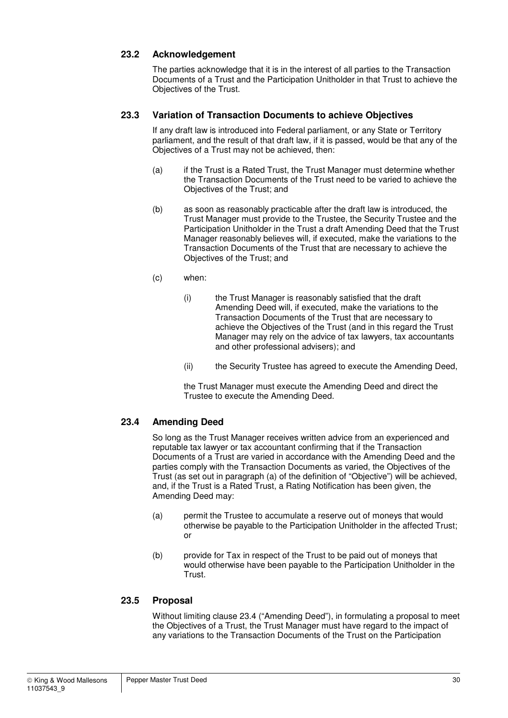#### **23.2 Acknowledgement**

The parties acknowledge that it is in the interest of all parties to the Transaction Documents of a Trust and the Participation Unitholder in that Trust to achieve the Objectives of the Trust.

#### **23.3 Variation of Transaction Documents to achieve Objectives**

If any draft law is introduced into Federal parliament, or any State or Territory parliament, and the result of that draft law, if it is passed, would be that any of the Objectives of a Trust may not be achieved, then:

- (a) if the Trust is a Rated Trust, the Trust Manager must determine whether the Transaction Documents of the Trust need to be varied to achieve the Objectives of the Trust; and
- (b) as soon as reasonably practicable after the draft law is introduced, the Trust Manager must provide to the Trustee, the Security Trustee and the Participation Unitholder in the Trust a draft Amending Deed that the Trust Manager reasonably believes will, if executed, make the variations to the Transaction Documents of the Trust that are necessary to achieve the Objectives of the Trust; and
- (c) when:
	- (i) the Trust Manager is reasonably satisfied that the draft Amending Deed will, if executed, make the variations to the Transaction Documents of the Trust that are necessary to achieve the Objectives of the Trust (and in this regard the Trust Manager may rely on the advice of tax lawyers, tax accountants and other professional advisers); and
	- (ii) the Security Trustee has agreed to execute the Amending Deed,

the Trust Manager must execute the Amending Deed and direct the Trustee to execute the Amending Deed.

#### **23.4 Amending Deed**

So long as the Trust Manager receives written advice from an experienced and reputable tax lawyer or tax accountant confirming that if the Transaction Documents of a Trust are varied in accordance with the Amending Deed and the parties comply with the Transaction Documents as varied, the Objectives of the Trust (as set out in paragraph (a) of the definition of "Objective") will be achieved, and, if the Trust is a Rated Trust, a Rating Notification has been given, the Amending Deed may:

- (a) permit the Trustee to accumulate a reserve out of moneys that would otherwise be payable to the Participation Unitholder in the affected Trust; or
- (b) provide for Tax in respect of the Trust to be paid out of moneys that would otherwise have been payable to the Participation Unitholder in the Trust.

#### **23.5 Proposal**

Without limiting clause 23.4 ("Amending Deed"), in formulating a proposal to meet the Objectives of a Trust, the Trust Manager must have regard to the impact of any variations to the Transaction Documents of the Trust on the Participation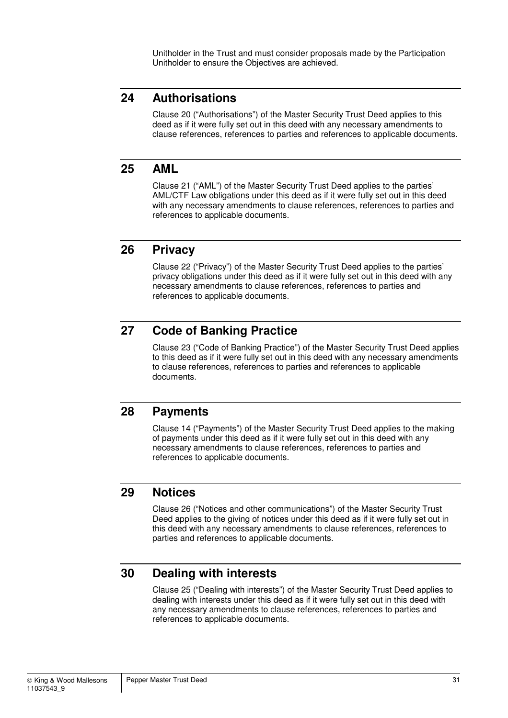Unitholder in the Trust and must consider proposals made by the Participation Unitholder to ensure the Objectives are achieved.

### **24 Authorisations**

Clause 20 ("Authorisations") of the Master Security Trust Deed applies to this deed as if it were fully set out in this deed with any necessary amendments to clause references, references to parties and references to applicable documents.

### **25 AML**

Clause 21 ("AML") of the Master Security Trust Deed applies to the parties' AML/CTF Law obligations under this deed as if it were fully set out in this deed with any necessary amendments to clause references, references to parties and references to applicable documents.

## **26 Privacy**

Clause 22 ("Privacy") of the Master Security Trust Deed applies to the parties' privacy obligations under this deed as if it were fully set out in this deed with any necessary amendments to clause references, references to parties and references to applicable documents.

## **27 Code of Banking Practice**

Clause 23 ("Code of Banking Practice") of the Master Security Trust Deed applies to this deed as if it were fully set out in this deed with any necessary amendments to clause references, references to parties and references to applicable documents.

## **28 Payments**

Clause 14 ("Payments") of the Master Security Trust Deed applies to the making of payments under this deed as if it were fully set out in this deed with any necessary amendments to clause references, references to parties and references to applicable documents.

## **29 Notices**

Clause 26 ("Notices and other communications") of the Master Security Trust Deed applies to the giving of notices under this deed as if it were fully set out in this deed with any necessary amendments to clause references, references to parties and references to applicable documents.

## **30 Dealing with interests**

Clause 25 ("Dealing with interests") of the Master Security Trust Deed applies to dealing with interests under this deed as if it were fully set out in this deed with any necessary amendments to clause references, references to parties and references to applicable documents.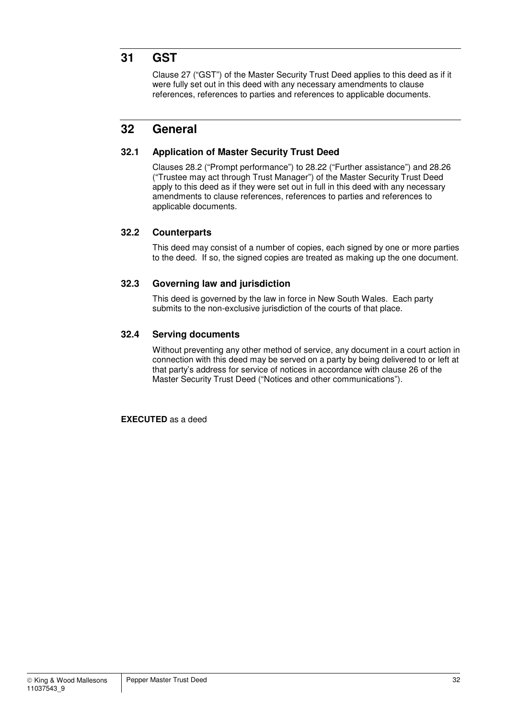### **31 GST**

Clause 27 ("GST") of the Master Security Trust Deed applies to this deed as if it were fully set out in this deed with any necessary amendments to clause references, references to parties and references to applicable documents.

## **32 General**

#### **32.1 Application of Master Security Trust Deed**

Clauses 28.2 ("Prompt performance") to 28.22 ("Further assistance") and 28.26 ("Trustee may act through Trust Manager") of the Master Security Trust Deed apply to this deed as if they were set out in full in this deed with any necessary amendments to clause references, references to parties and references to applicable documents.

#### **32.2 Counterparts**

This deed may consist of a number of copies, each signed by one or more parties to the deed. If so, the signed copies are treated as making up the one document.

#### **32.3 Governing law and jurisdiction**

This deed is governed by the law in force in New South Wales. Each party submits to the non-exclusive jurisdiction of the courts of that place.

#### **32.4 Serving documents**

Without preventing any other method of service, any document in a court action in connection with this deed may be served on a party by being delivered to or left at that party's address for service of notices in accordance with clause 26 of the Master Security Trust Deed ("Notices and other communications").

**EXECUTED** as a deed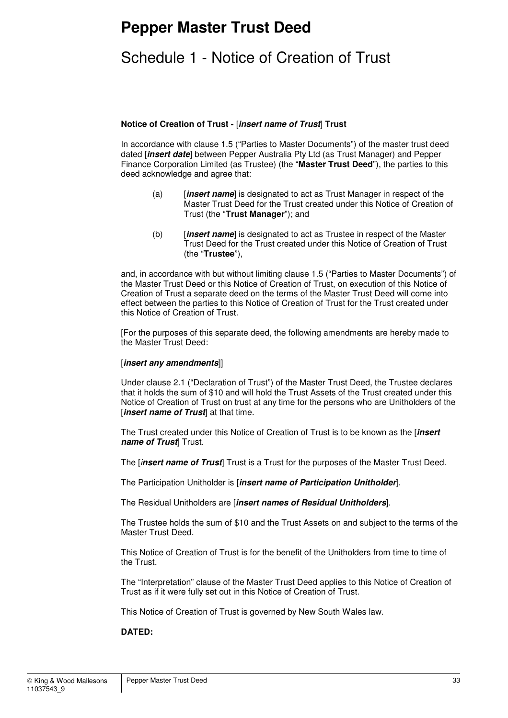## **Pepper Master Trust Deed**

## Schedule 1 - Notice of Creation of Trust

#### **Notice of Creation of Trust -** [**insert name of Trust**] **Trust**

In accordance with clause 1.5 ("Parties to Master Documents") of the master trust deed dated [**insert date**] between Pepper Australia Pty Ltd (as Trust Manager) and Pepper Finance Corporation Limited (as Trustee) (the "**Master Trust Deed**"), the parties to this deed acknowledge and agree that:

- (a) [**insert name**] is designated to act as Trust Manager in respect of the Master Trust Deed for the Trust created under this Notice of Creation of Trust (the "**Trust Manager**"); and
- (b) [**insert name**] is designated to act as Trustee in respect of the Master Trust Deed for the Trust created under this Notice of Creation of Trust (the "**Trustee**"),

and, in accordance with but without limiting clause 1.5 ("Parties to Master Documents") of the Master Trust Deed or this Notice of Creation of Trust, on execution of this Notice of Creation of Trust a separate deed on the terms of the Master Trust Deed will come into effect between the parties to this Notice of Creation of Trust for the Trust created under this Notice of Creation of Trust.

[For the purposes of this separate deed, the following amendments are hereby made to the Master Trust Deed:

#### [**insert any amendments**]]

Under clause 2.1 ("Declaration of Trust") of the Master Trust Deed, the Trustee declares that it holds the sum of \$10 and will hold the Trust Assets of the Trust created under this Notice of Creation of Trust on trust at any time for the persons who are Unitholders of the *<u>Insert name of Trustant insert name</u>* 

The Trust created under this Notice of Creation of Trust is to be known as the [**insert name of Trust**] Trust.

The [i**nsert name of Trust**] Trust is a Trust for the purposes of the Master Trust Deed.

The Participation Unitholder is [**insert name of Participation Unitholder**].

The Residual Unitholders are [**insert names of Residual Unitholders**].

The Trustee holds the sum of \$10 and the Trust Assets on and subject to the terms of the Master Trust Deed.

This Notice of Creation of Trust is for the benefit of the Unitholders from time to time of the Trust.

The "Interpretation" clause of the Master Trust Deed applies to this Notice of Creation of Trust as if it were fully set out in this Notice of Creation of Trust.

This Notice of Creation of Trust is governed by New South Wales law.

#### **DATED:**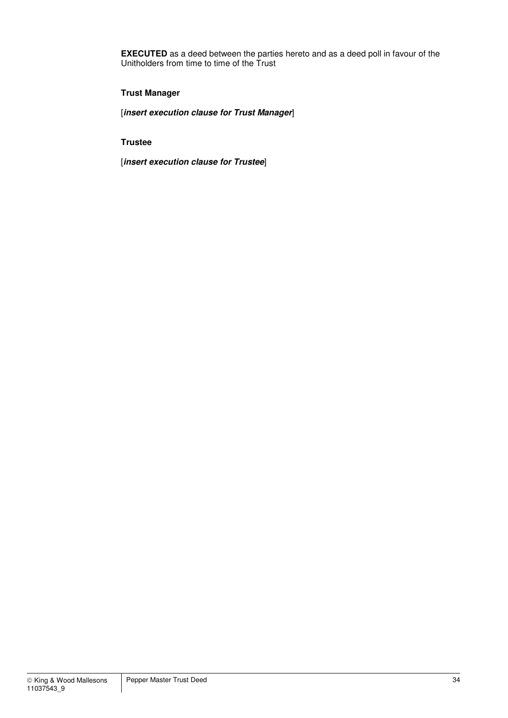**EXECUTED** as a deed between the parties hereto and as a deed poll in favour of the Unitholders from time to time of the Trust

#### **Trust Manager**

[**insert execution clause for Trust Manager**]

**Trustee** 

[**insert execution clause for Trustee**]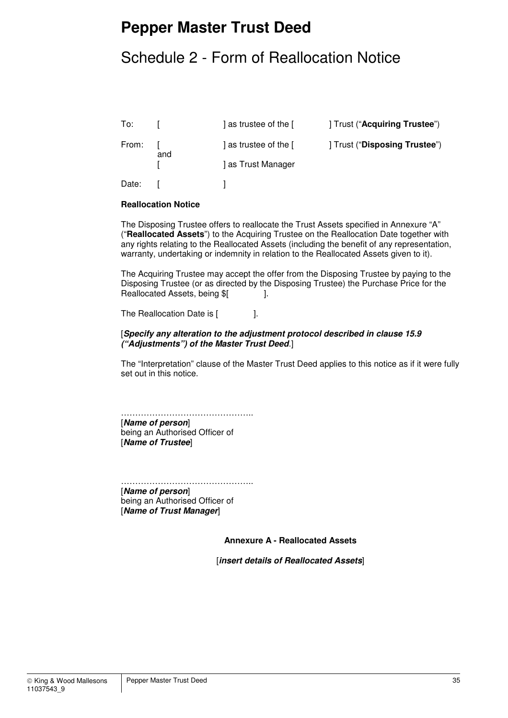## **Pepper Master Trust Deed**

## Schedule 2 - Form of Reallocation Notice

| To:   |     | ] as trustee of the [ | Trust ("Acquiring Trustee") |
|-------|-----|-----------------------|-----------------------------|
| From: | and | as trustee of the [   | Trust ("Disposing Trustee") |
|       |     | ] as Trust Manager    |                             |
| Date: |     |                       |                             |

#### **Reallocation Notice**

The Disposing Trustee offers to reallocate the Trust Assets specified in Annexure "A" ("**Reallocated Assets**") to the Acquiring Trustee on the Reallocation Date together with any rights relating to the Reallocated Assets (including the benefit of any representation, warranty, undertaking or indemnity in relation to the Reallocated Assets given to it).

The Acquiring Trustee may accept the offer from the Disposing Trustee by paying to the Disposing Trustee (or as directed by the Disposing Trustee) the Purchase Price for the Reallocated Assets, being \$[].

The Reallocation Date is [].

#### [**Specify any alteration to the adjustment protocol described in clause 15.9 ("Adjustments") of the Master Trust Deed**.]

The "Interpretation" clause of the Master Trust Deed applies to this notice as if it were fully set out in this notice.

…………………………………………………… [**Name of person**] being an Authorised Officer of [**Name of Trustee**]

……………………………………….. [**Name of person**] being an Authorised Officer of [**Name of Trust Manager**]

#### **Annexure A - Reallocated Assets**

[**insert details of Reallocated Assets**]